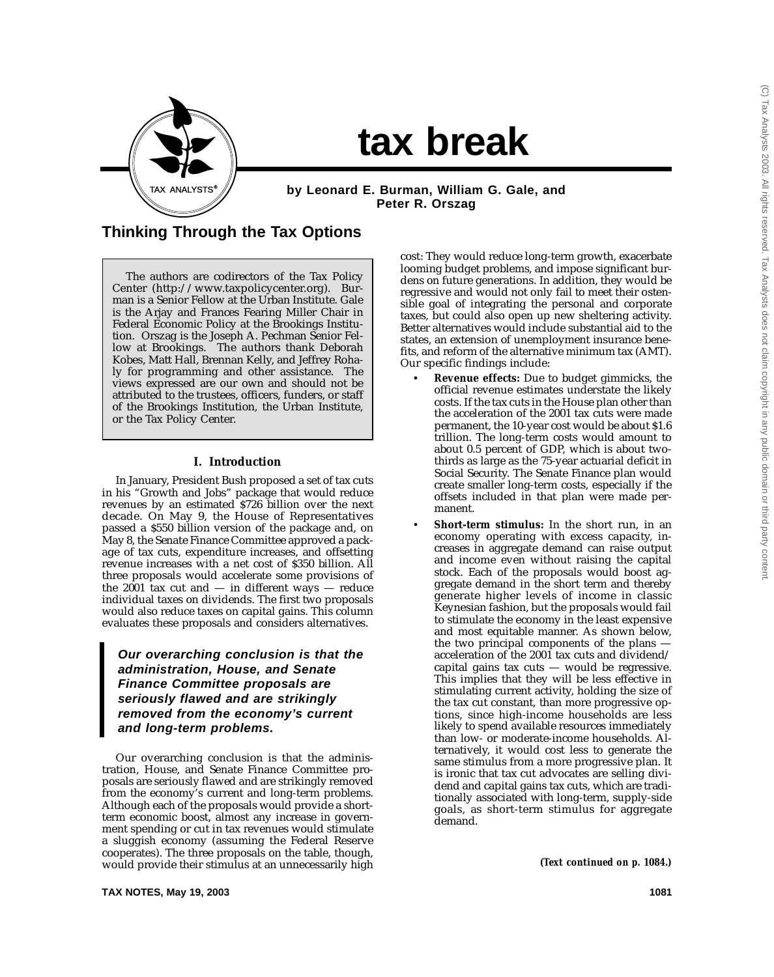

# **tax break**

**by Leonard E. Burman, William G. Gale, and Peter R. Orszag**

## **Thinking Through the Tax Options**

The authors are codirectors of the Tax Policy Center (http://www.taxpolicycenter.org). Burman is a Senior Fellow at the Urban Institute. Gale is the Arjay and Frances Fearing Miller Chair in Federal Economic Policy at the Brookings Institution. Orszag is the Joseph A. Pechman Senior Fellow at Brookings. The authors thank Deborah Kobes, Matt Hall, Brennan Kelly, and Jeffrey Rohaly for programming and other assistance. The views expressed are our own and should not be attributed to the trustees, officers, funders, or staff of the Brookings Institution, the Urban Institute, or the Tax Policy Center.

## **I. Introduction**

In January, President Bush proposed a set of tax cuts in his "Growth and Jobs" package that would reduce revenues by an estimated \$726 billion over the next decade. On May 9, the House of Representatives passed a \$550 billion version of the package and, on May 8, the Senate Finance Committee approved a package of tax cuts, expenditure increases, and offsetting revenue increases with a net cost of \$350 billion. All three proposals would accelerate some provisions of the 2001 tax cut and — in different ways — reduce individual taxes on dividends. The first two proposals would also reduce taxes on capital gains. This column evaluates these proposals and considers alternatives.

**Our overarching conclusion is that the administration, House, and Senate Finance Committee proposals are seriously flawed and are strikingly removed from the economy's current and long-term problems.**

Our overarching conclusion is that the administration, House, and Senate Finance Committee proposals are seriously flawed and are strikingly removed from the economy's current and long-term problems. Although each of the proposals would provide a shortterm economic boost, almost any increase in government spending or cut in tax revenues would stimulate a sluggish economy (assuming the Federal Reserve cooperates). The three proposals on the table, though, would provide their stimulus at an unnecessarily high cost: They would reduce long-term growth, exacerbate looming budget problems, and impose significant burdens on future generations. In addition, they would be regressive and would not only fail to meet their ostensible goal of integrating the personal and corporate taxes, but could also open up new sheltering activity. Better alternatives would include substantial aid to the states, an extension of unemployment insurance benefits, and reform of the alternative minimum tax (AMT). Our specific findings include:

- **Revenue effects:** Due to budget gimmicks, the official revenue estimates understate the likely costs. If the tax cuts in the House plan other than the acceleration of the 2001 tax cuts were made permanent, the 10-year cost would be about \$1.6 trillion. The long-term costs would amount to about 0.5 percent of GDP, which is about twothirds as large as the 75-year actuarial deficit in Social Security. The Senate Finance plan would create smaller long-term costs, especially if the offsets included in that plan were made permanent.
	- Short-term stimulus: In the short run, in an economy operating with excess capacity, increases in aggregate demand can raise output and income even without raising the capital stock. Each of the proposals would boost aggregate demand in the short term and thereby generate higher levels of income in classic Keynesian fashion, but the proposals would fail to stimulate the economy in the least expensive and most equitable manner. As shown below, the two principal components of the plans acceleration of the 2001 tax cuts and dividend/ capital gains tax cuts  $-$  would be regressive. This implies that they will be less effective in stimulating current activity, holding the size of the tax cut constant, than more progressive options, since high-income households are less likely to spend available resources immediately than low- or moderate-income households. Alternatively, it would cost less to generate the same stimulus from a more progressive plan. It is ironic that tax cut advocates are selling dividend and capital gains tax cuts, which are traditionally associated with long-term, supply-side goals, as short-term stimulus for aggregate demand.

*(Text continued on p. 1084.)*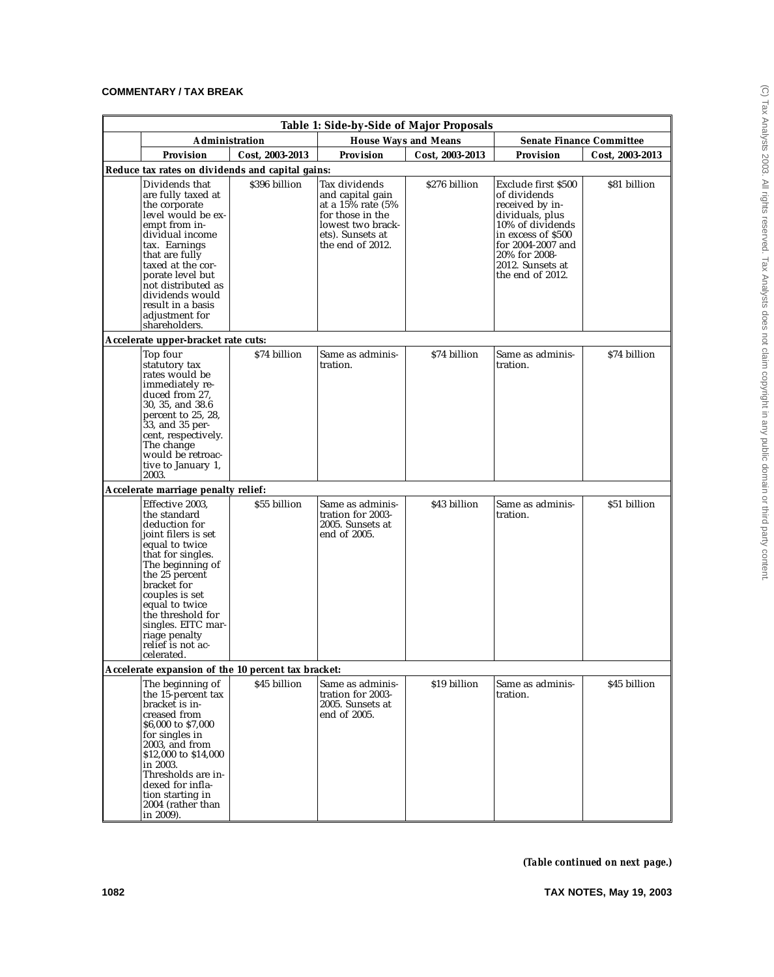|                                     | Table 1: Side-by-Side of Major Proposals                                                                                                                                                                                                                                                     |                                                     |                                                                                                                                         |                 |                                                                                                                                                                                                   |                                 |  |  |  |  |  |  |
|-------------------------------------|----------------------------------------------------------------------------------------------------------------------------------------------------------------------------------------------------------------------------------------------------------------------------------------------|-----------------------------------------------------|-----------------------------------------------------------------------------------------------------------------------------------------|-----------------|---------------------------------------------------------------------------------------------------------------------------------------------------------------------------------------------------|---------------------------------|--|--|--|--|--|--|
|                                     | Administration                                                                                                                                                                                                                                                                               |                                                     | <b>House Ways and Means</b>                                                                                                             |                 |                                                                                                                                                                                                   | <b>Senate Finance Committee</b> |  |  |  |  |  |  |
|                                     | <b>Provision</b>                                                                                                                                                                                                                                                                             | Cost. 2003-2013                                     | Provision                                                                                                                               | Cost, 2003-2013 | <b>Provision</b>                                                                                                                                                                                  | Cost, 2003-2013                 |  |  |  |  |  |  |
|                                     |                                                                                                                                                                                                                                                                                              | Reduce tax rates on dividends and capital gains:    |                                                                                                                                         |                 |                                                                                                                                                                                                   |                                 |  |  |  |  |  |  |
|                                     | Dividends that<br>are fully taxed at<br>the corporate<br>level would be ex-<br>empt from in-<br>dividual income<br>tax. Earnings<br>that are fully<br>taxed at the cor-<br>porate level but<br>not distributed as<br>dividends would<br>result in a basis<br>adjustment for<br>shareholders. | \$396 billion                                       | Tax dividends<br>and capital gain<br>at a 15% rate (5%<br>for those in the<br>lowest two brack-<br>ets). Sunsets at<br>the end of 2012. | \$276 billion   | Exclude first \$500<br>of dividends<br>received by in-<br>dividuals, plus<br>10% of dividends<br>in excess of \$500<br>for 2004-2007 and<br>20% for 2008-<br>2012. Sunsets at<br>the end of 2012. | \$81 billion                    |  |  |  |  |  |  |
| Accelerate upper-bracket rate cuts: |                                                                                                                                                                                                                                                                                              |                                                     |                                                                                                                                         |                 |                                                                                                                                                                                                   |                                 |  |  |  |  |  |  |
| Top four<br>The change<br>2003.     | statutory tax<br>rates would be<br>immediately re-<br>duced from 27.<br>30, 35, and 38.6<br>percent to 25, 28,<br>33, and 35 per-<br>cent, respectively.<br>would be retroac-<br>tive to January 1,                                                                                          | \$74 billion                                        | Same as adminis-<br>tration.                                                                                                            | \$74 billion    | Same as adminis-<br>tration.                                                                                                                                                                      | \$74 billion                    |  |  |  |  |  |  |
| Accelerate marriage penalty relief: |                                                                                                                                                                                                                                                                                              |                                                     |                                                                                                                                         |                 |                                                                                                                                                                                                   |                                 |  |  |  |  |  |  |
| bracket for<br>celerated.           | Effective 2003.<br>the standard<br>deduction for<br>joint filers is set<br>equal to twice<br>that for singles.<br>The beginning of<br>the 25 percent<br>couples is set<br>equal to twice<br>the threshold for<br>singles. EITC mar-<br>riage penalty<br>relief is not ac-                    | \$55 billion                                        | Same as adminis-<br>tration for 2003-<br>2005. Sunsets at<br>end of 2005.                                                               | \$43 billion    | Same as adminis-<br>tration.                                                                                                                                                                      | \$51 billion                    |  |  |  |  |  |  |
|                                     |                                                                                                                                                                                                                                                                                              | Accelerate expansion of the 10 percent tax bracket: |                                                                                                                                         |                 |                                                                                                                                                                                                   |                                 |  |  |  |  |  |  |
| in 2003.<br>in 2009).               | The beginning of<br>the 15-percent tax<br>bracket is in-<br>creased from<br>\$6,000 to \$7,000<br>for singles in<br>2003, and from<br>\$12,000 to \$14,000<br>Thresholds are in-<br>dexed for infla-<br>tion starting in<br>2004 (rather than                                                | \$45 billion                                        | Same as adminis-<br>tration for 2003-<br>2005. Sunsets at<br>end of 2005.                                                               | \$19 billion    | Same as adminis-<br>tration.                                                                                                                                                                      | \$45 billion                    |  |  |  |  |  |  |

*(Table continued on next page.)*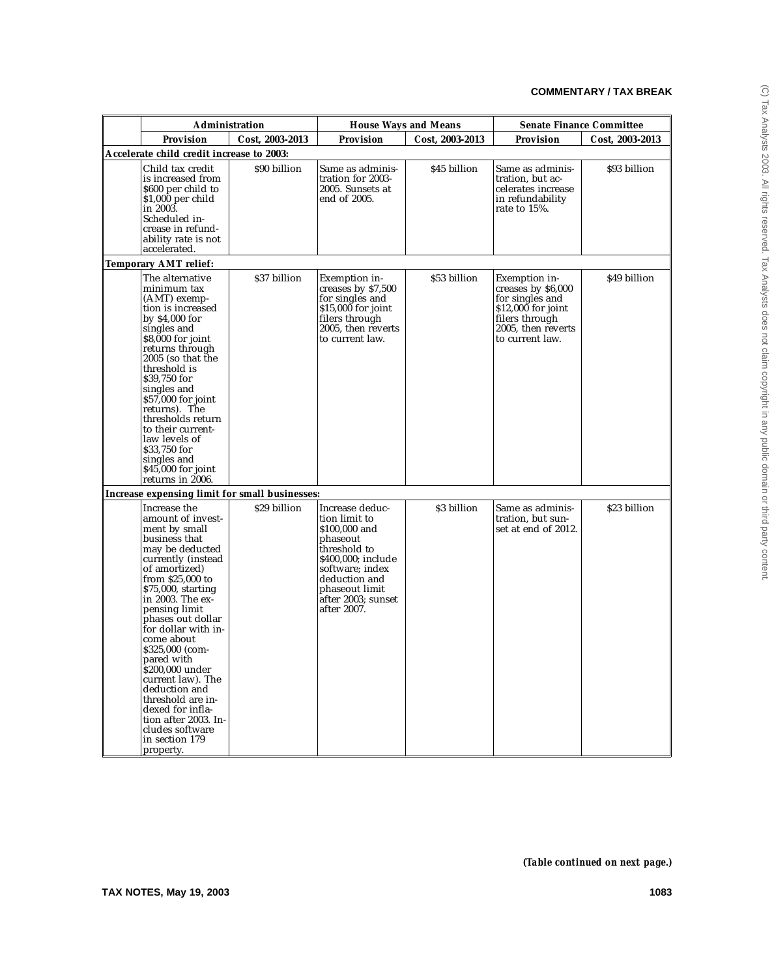| Administration                                                                                                                                                                                                                                                                                                                                                                                                                                                                      |                                                |                                                                                                                                                                                                | <b>House Ways and Means</b> |                                                                                                                                         | <b>Senate Finance Committee</b> |
|-------------------------------------------------------------------------------------------------------------------------------------------------------------------------------------------------------------------------------------------------------------------------------------------------------------------------------------------------------------------------------------------------------------------------------------------------------------------------------------|------------------------------------------------|------------------------------------------------------------------------------------------------------------------------------------------------------------------------------------------------|-----------------------------|-----------------------------------------------------------------------------------------------------------------------------------------|---------------------------------|
| Provision                                                                                                                                                                                                                                                                                                                                                                                                                                                                           | Cost, 2003-2013                                | <b>Provision</b>                                                                                                                                                                               | Cost, 2003-2013             | Provision                                                                                                                               | Cost, 2003-2013                 |
| Accelerate child credit increase to 2003:                                                                                                                                                                                                                                                                                                                                                                                                                                           |                                                |                                                                                                                                                                                                |                             |                                                                                                                                         |                                 |
| Child tax credit<br>is increased from<br>\$600 per child to<br>\$1,000 per child<br>in 2003.<br>Scheduled in-<br>crease in refund-<br>ability rate is not<br>accelerated.                                                                                                                                                                                                                                                                                                           | \$90 billion                                   | Same as adminis-<br>tration for 2003-<br>2005. Sunsets at<br>end of 2005.                                                                                                                      | \$45 billion                | Same as adminis-<br>tration, but ac-<br>celerates increase<br>in refundability<br>rate to 15%.                                          | \$93 billion                    |
| <b>Temporary AMT relief:</b>                                                                                                                                                                                                                                                                                                                                                                                                                                                        |                                                |                                                                                                                                                                                                |                             |                                                                                                                                         |                                 |
| The alternative<br>minimum tax<br>(AMT) exemp-<br>tion is increased<br>by \$4,000 for<br>singles and<br>$$8,000$ for joint<br>returns through<br>$2005$ (so that the<br>threshold is<br>\$39,750 for<br>singles and<br>$$57,000$ for joint<br>returns). The<br>thresholds return<br>to their current-<br>law levels of<br>\$33,750 for<br>singles and<br>$$45,000$ for joint<br>returns in 2006.                                                                                    | \$37 billion                                   | Exemption in-<br>creases by \$7,500<br>for singles and<br>$$15,000$ for joint<br>filers through<br>2005, then reverts<br>to current law.                                                       | \$53 billion                | Exemption in-<br>creases by \$6,000<br>for singles and<br>\$12,000 for joint<br>filers through<br>2005, then reverts<br>to current law. | \$49 billion                    |
|                                                                                                                                                                                                                                                                                                                                                                                                                                                                                     | Increase expensing limit for small businesses: |                                                                                                                                                                                                |                             |                                                                                                                                         |                                 |
| Increase the<br>amount of invest-<br>ment by small<br>business that<br>may be deducted<br>currently (instead<br>of amortized)<br>from \$25,000 to<br>\$75,000, starting<br>in 2003. The ex-<br>pensing limit<br>phases out dollar<br>for dollar with in-<br>come about<br>\$325,000 (com-<br>pared with<br>\$200,000 under<br>current law). The<br>deduction and<br>threshold are in-<br>dexed for infla-<br>tion after 2003. In-<br>cludes software<br>in section 179<br>property. | \$29 billion                                   | Increase deduc-<br>tion limit to<br>\$100,000 and<br>phaseout<br>threshold to<br>\$400,000; include<br>software; index<br>deduction and<br>phaseout limit<br>after 2003; sunset<br>after 2007. | \$3 billion                 | Same as adminis-<br>tration, but sun-<br>set at end of 2012.                                                                            | \$23 billion                    |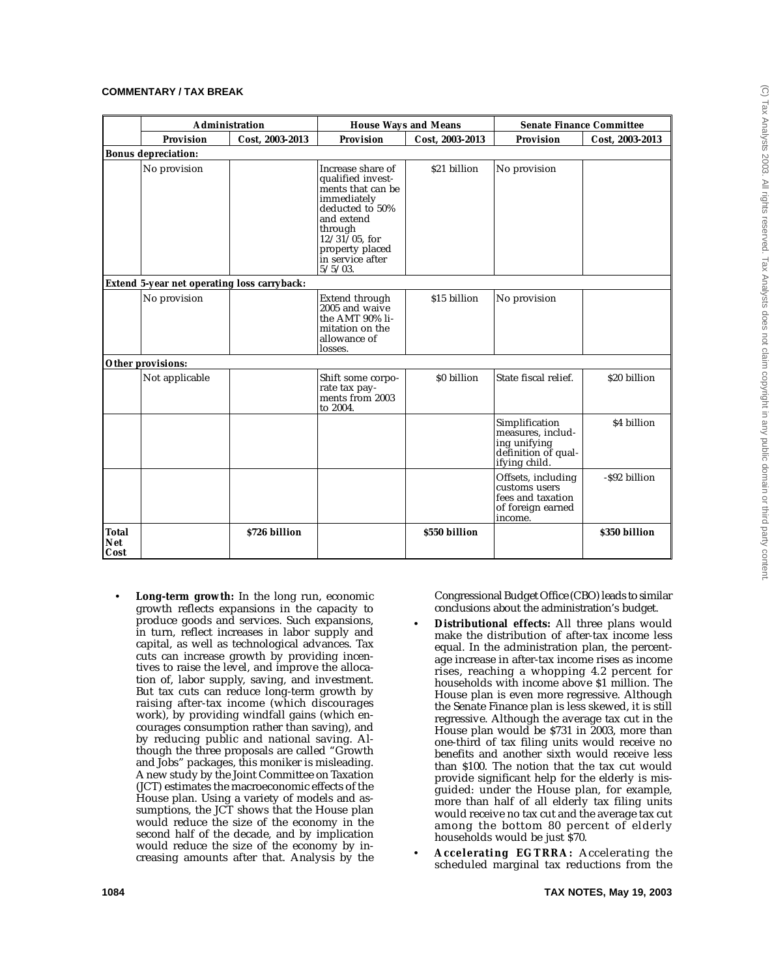|                             |                                             | Administration  |                                                                                                                                                                                                 | <b>House Ways and Means</b> | <b>Senate Finance Committee</b>                                                             |                 |
|-----------------------------|---------------------------------------------|-----------------|-------------------------------------------------------------------------------------------------------------------------------------------------------------------------------------------------|-----------------------------|---------------------------------------------------------------------------------------------|-----------------|
|                             | <b>Provision</b>                            | Cost, 2003-2013 | <b>Provision</b>                                                                                                                                                                                | Cost, 2003-2013             | <b>Provision</b>                                                                            | Cost, 2003-2013 |
|                             | <b>Bonus depreciation:</b>                  |                 |                                                                                                                                                                                                 |                             |                                                                                             |                 |
|                             | No provision                                |                 | Increase share of<br>qualified invest-<br>ments that can be<br>immediately<br>deducted to 50%<br>and extend<br>through<br>$12/31/05$ , for<br>property placed<br>in service after<br>$5/5/03$ . | \$21 billion                | No provision                                                                                |                 |
|                             | Extend 5-year net operating loss carryback: |                 |                                                                                                                                                                                                 |                             |                                                                                             |                 |
|                             | No provision                                |                 | Extend through<br>2005 and waive<br>the AMT 90% li-<br>mitation on the<br>allowance of<br>losses.                                                                                               | \$15 billion                | No provision                                                                                |                 |
|                             | Other provisions:                           |                 |                                                                                                                                                                                                 |                             |                                                                                             |                 |
|                             | Not applicable                              |                 | Shift some corpo-<br>rate tax pay-<br>ments from 2003<br>to 2004.                                                                                                                               | \$0 billion                 | State fiscal relief.                                                                        | \$20 billion    |
|                             |                                             |                 |                                                                                                                                                                                                 |                             | Simplification<br>measures, includ-<br>ing unifying<br>definition of qual-<br>ifying child. | \$4 billion     |
|                             |                                             |                 |                                                                                                                                                                                                 |                             | Offsets, including<br>customs users<br>fees and taxation<br>of foreign earned<br>income.    | -S92 billion    |
| Total<br><b>Net</b><br>Cost |                                             | \$726 billion   |                                                                                                                                                                                                 | \$550 billion               |                                                                                             | \$350 billion   |

• **Long-term growth:** In the long run, economic growth reflects expansions in the capacity to produce goods and services. Such expansions, in turn, reflect increases in labor supply and capital, as well as technological advances. Tax cuts can increase growth by providing incentives to raise the level, and improve the allocation of, labor supply, saving, and investment. But tax cuts can reduce long-term growth by raising after-tax income (which discourages work), by providing windfall gains (which encourages consumption rather than saving), and by reducing public and national saving. Although the three proposals are called "Growth and Jobs" packages, this moniker is misleading. A new study by the Joint Committee on Taxation (JCT) estimates the macroeconomic effects of the House plan. Using a variety of models and assumptions, the JCT shows that the House plan would reduce the size of the economy in the second half of the decade, and by implication would reduce the size of the economy by increasing amounts after that. Analysis by the

Congressional Budget Office (CBO) leads to similar conclusions about the administration's budget.

- **Distributional effects:** All three plans would make the distribution of after-tax income less equal. In the administration plan, the percentage increase in after-tax income rises as income rises, reaching a whopping 4.2 percent for households with income above \$1 million. The House plan is even more regressive. Although the Senate Finance plan is less skewed, it is still regressive. Although the average tax cut in the House plan would be \$731 in 2003, more than one-third of tax filing units would receive no benefits and another sixth would receive less than \$100. The notion that the tax cut would provide significant help for the elderly is misguided: under the House plan, for example, more than half of all elderly tax filing units would receive no tax cut and the average tax cut among the bottom 80 percent of elderly households would be just \$70.
- **Accelerating EGTRRA:** Accelerating the scheduled marginal tax reductions from the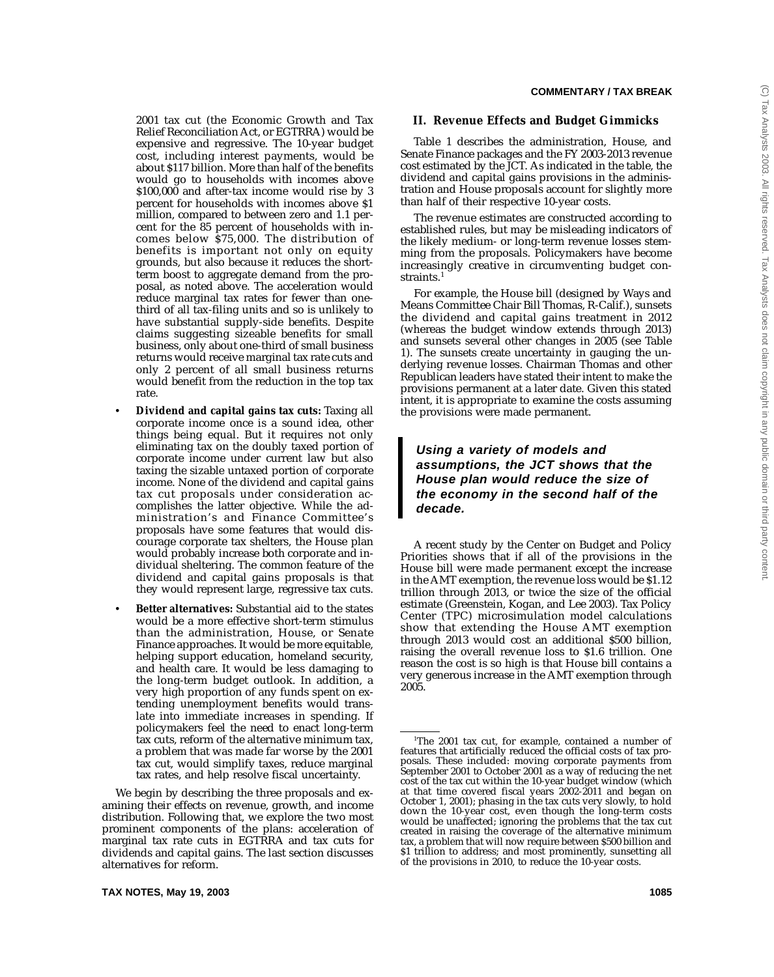2001 tax cut (the Economic Growth and Tax Relief Reconciliation Act, or EGTRRA) would be expensive and regressive. The 10-year budget cost, including interest payments, would be about \$117 billion. More than half of the benefits would go to households with incomes above \$100,000 and after-tax income would rise by 3 percent for households with incomes above \$1 million, compared to between zero and 1.1 percent for the 85 percent of households with incomes below \$75,000. The distribution of benefits is important not only on equity grounds, but also because it reduces the shortterm boost to aggregate demand from the proposal, as noted above. The acceleration would reduce marginal tax rates for fewer than onethird of all tax-filing units and so is unlikely to have substantial supply-side benefits. Despite claims suggesting sizeable benefits for small business, only about one-third of small business returns would receive marginal tax rate cuts and only 2 percent of all small business returns would benefit from the reduction in the top tax rate.

- **Dividend and capital gains tax cuts:** Taxing all corporate income once is a sound idea, other things being equal. But it requires not only eliminating tax on the doubly taxed portion of corporate income under current law but also taxing the sizable untaxed portion of corporate income. None of the dividend and capital gains tax cut proposals under consideration accomplishes the latter objective. While the administration's and Finance Committee's proposals have some features that would discourage corporate tax shelters, the House plan would probably increase both corporate and individual sheltering. The common feature of the dividend and capital gains proposals is that they would represent large, regressive tax cuts.
- **Better alternatives:** Substantial aid to the states would be a more effective short-term stimulus than the administration, House, or Senate Finance approaches. It would be more equitable, helping support education, homeland security, and health care. It would be less damaging to the long-term budget outlook. In addition, a very high proportion of any funds spent on extending unemployment benefits would translate into immediate increases in spending. If policymakers feel the need to enact long-term tax cuts, reform of the alternative minimum tax, a problem that was made far worse by the 2001 tax cut, would simplify taxes, reduce marginal tax rates, and help resolve fiscal uncertainty.

We begin by describing the three proposals and examining their effects on revenue, growth, and income distribution. Following that, we explore the two most prominent components of the plans: acceleration of marginal tax rate cuts in EGTRRA and tax cuts for dividends and capital gains. The last section discusses alternatives for reform.

### **II. Revenue Effects and Budget Gimmicks**

Table 1 describes the administration, House, and Senate Finance packages and the FY 2003-2013 revenue cost estimated by the JCT. As indicated in the table, the dividend and capital gains provisions in the administration and House proposals account for slightly more than half of their respective 10-year costs.

The revenue estimates are constructed according to established rules, but may be misleading indicators of the likely medium- or long-term revenue losses stemming from the proposals. Policymakers have become increasingly creative in circumventing budget constraints.<sup>1</sup>

For example, the House bill (designed by Ways and Means Committee Chair Bill Thomas, R-Calif.), sunsets the dividend and capital gains treatment in 2012 (whereas the budget window extends through 2013) and sunsets several other changes in 2005 (see Table 1). The sunsets create uncertainty in gauging the underlying revenue losses. Chairman Thomas and other Republican leaders have stated their intent to make the provisions permanent at a later date. Given this stated intent, it is appropriate to examine the costs assuming the provisions were made permanent.

## **Using a variety of models and assumptions, the JCT shows that the House plan would reduce the size of the economy in the second half of the decade.**

A recent study by the Center on Budget and Policy Priorities shows that if all of the provisions in the House bill were made permanent except the increase in the AMT exemption, the revenue loss would be \$1.12 trillion through 2013, or twice the size of the official estimate (Greenstein, Kogan, and Lee 2003). Tax Policy Center (TPC) microsimulation model calculations show that extending the House AMT exemption through 2013 would cost an additional \$500 billion, raising the overall revenue loss to \$1.6 trillion. One reason the cost is so high is that House bill contains a very generous increase in the AMT exemption through 2005.

<sup>1</sup> The 2001 tax cut, for example, contained a number of features that artificially reduced the official costs of tax proposals. These included: moving corporate payments from September 2001 to October 2001 as a way of reducing the net cost of the tax cut within the 10-year budget window (which at that time covered fiscal years 2002-2011 and began on October 1, 2001); phasing in the tax cuts very slowly, to hold down the 10-year cost, even though the long-term costs would be unaffected; ignoring the problems that the tax cut created in raising the coverage of the alternative minimum tax, a problem that will now require between \$500 billion and \$1 trillion to address; and most prominently, sunsetting all of the provisions in 2010, to reduce the 10-year costs.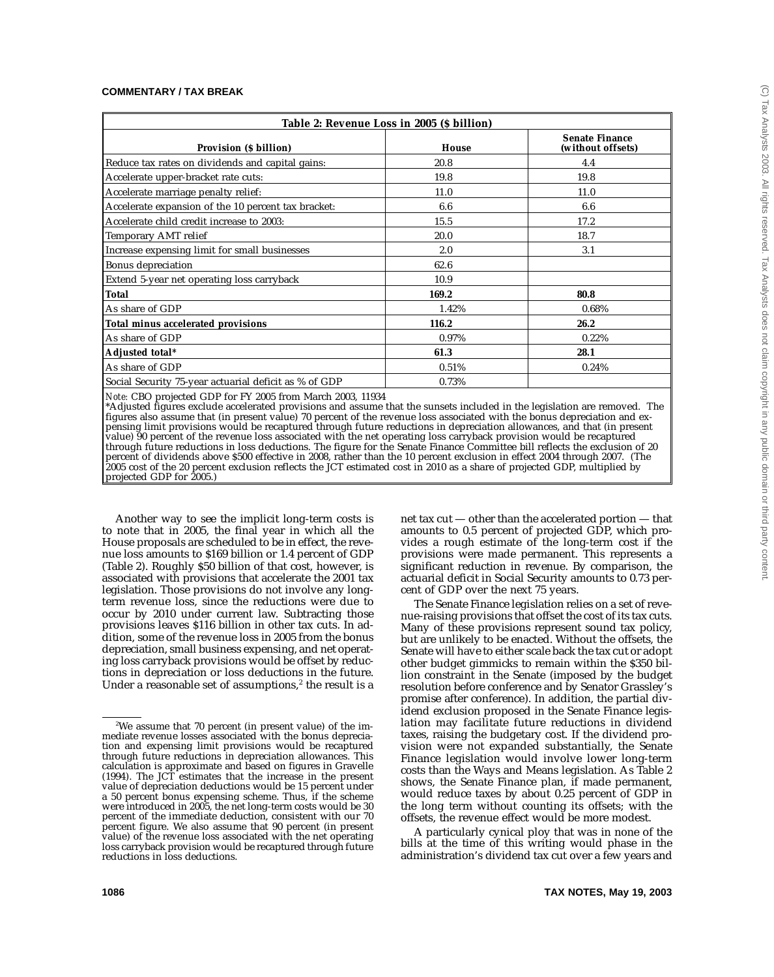| Table 2: Revenue Loss in 2005 (\$ billion)            |       |                                            |  |  |  |  |  |  |
|-------------------------------------------------------|-------|--------------------------------------------|--|--|--|--|--|--|
| Provision (\$ billion)                                | House | <b>Senate Finance</b><br>(without offsets) |  |  |  |  |  |  |
| Reduce tax rates on dividends and capital gains:      | 20.8  | 4.4                                        |  |  |  |  |  |  |
| Accelerate upper-bracket rate cuts:                   | 19.8  | 19.8                                       |  |  |  |  |  |  |
| Accelerate marriage penalty relief:                   | 11.0  | 11.0                                       |  |  |  |  |  |  |
| Accelerate expansion of the 10 percent tax bracket:   | 6.6   | 6.6                                        |  |  |  |  |  |  |
| Accelerate child credit increase to 2003:             | 15.5  | 17.2                                       |  |  |  |  |  |  |
| Temporary AMT relief                                  | 20.0  | 18.7                                       |  |  |  |  |  |  |
| Increase expensing limit for small businesses         | 2.0   | 3.1                                        |  |  |  |  |  |  |
| <b>Bonus depreciation</b>                             | 62.6  |                                            |  |  |  |  |  |  |
| Extend 5-year net operating loss carryback            | 10.9  |                                            |  |  |  |  |  |  |
| <b>Total</b>                                          | 169.2 | 80.8                                       |  |  |  |  |  |  |
| As share of GDP                                       | 1.42% | 0.68%                                      |  |  |  |  |  |  |
| Total minus accelerated provisions                    | 116.2 | 26.2                                       |  |  |  |  |  |  |
| As share of GDP                                       | 0.97% | 0.22%                                      |  |  |  |  |  |  |
| Adjusted total*                                       | 61.3  | 28.1                                       |  |  |  |  |  |  |
| As share of GDP                                       | 0.51% | 0.24%                                      |  |  |  |  |  |  |
| Social Security 75-year actuarial deficit as % of GDP | 0.73% |                                            |  |  |  |  |  |  |

*Note:* CBO projected GDP for FY 2005 from March 2003, 11934

\*Adjusted figures exclude accelerated provisions and assume that the sunsets included in the legislation are removed. The figures also assume that (in present value) 70 percent of the revenue loss associated with the bonus depreciation and expensing limit provisions would be recaptured through future reductions in depreciation allowances, and that (in present value) 90 percent of the revenue loss associated with the net operating loss carryback provision would be recaptured through future reductions in loss deductions. The figure for the Senate Finance Committee bill reflects the exclusion of 20 percent of dividends above \$500 effective in 2008, rather than the 10 percent exclusion in effect 2004 through 2007. (The 2005 cost of the 20 percent exclusion reflects the JCT estimated cost in 2010 as a share of projected GDP, multiplied by projected GDP for 2005.)

Another way to see the implicit long-term costs is to note that in 2005, the final year in which all the House proposals are scheduled to be in effect, the revenue loss amounts to \$169 billion or 1.4 percent of GDP (Table 2). Roughly \$50 billion of that cost, however, is associated with provisions that accelerate the 2001 tax legislation. Those provisions do not involve any longterm revenue loss, since the reductions were due to occur by 2010 under current law. Subtracting those provisions leaves \$116 billion in other tax cuts. In addition, some of the revenue loss in 2005 from the bonus depreciation, small business expensing, and net operating loss carryback provisions would be offset by reductions in depreciation or loss deductions in the future. Under a reasonable set of assumptions, $2$  the result is a

net tax cut — other than the accelerated portion — that amounts to 0.5 percent of projected GDP, which provides a rough estimate of the long-term cost if the provisions were made permanent. This represents a significant reduction in revenue. By comparison, the actuarial deficit in Social Security amounts to 0.73 percent of GDP over the next 75 years.

The Senate Finance legislation relies on a set of revenue-raising provisions that offset the cost of its tax cuts. Many of these provisions represent sound tax policy, but are unlikely to be enacted. Without the offsets, the Senate will have to either scale back the tax cut or adopt other budget gimmicks to remain within the \$350 billion constraint in the Senate (imposed by the budget resolution before conference and by Senator Grassley's promise after conference). In addition, the partial dividend exclusion proposed in the Senate Finance legislation may facilitate future reductions in dividend taxes, raising the budgetary cost. If the dividend provision were not expanded substantially, the Senate Finance legislation would involve lower long-term costs than the Ways and Means legislation. As Table 2 shows, the Senate Finance plan, if made permanent, would reduce taxes by about 0.25 percent of GDP in the long term without counting its offsets; with the offsets, the revenue effect would be more modest.

A particularly cynical ploy that was in none of the bills at the time of this writing would phase in the administration's dividend tax cut over a few years and

<sup>2</sup> We assume that 70 percent (in present value) of the immediate revenue losses associated with the bonus depreciation and expensing limit provisions would be recaptured through future reductions in depreciation allowances. This calculation is approximate and based on figures in Gravelle (1994). The JCT estimates that the increase in the present value of depreciation deductions would be 15 percent under a 50 percent bonus expensing scheme. Thus, if the scheme were introduced in 2005, the net long-term costs would be 30 percent of the immediate deduction, consistent with our 70 percent figure. We also assume that 90 percent (in present value) of the revenue loss associated with the net operating loss carryback provision would be recaptured through future reductions in loss deductions.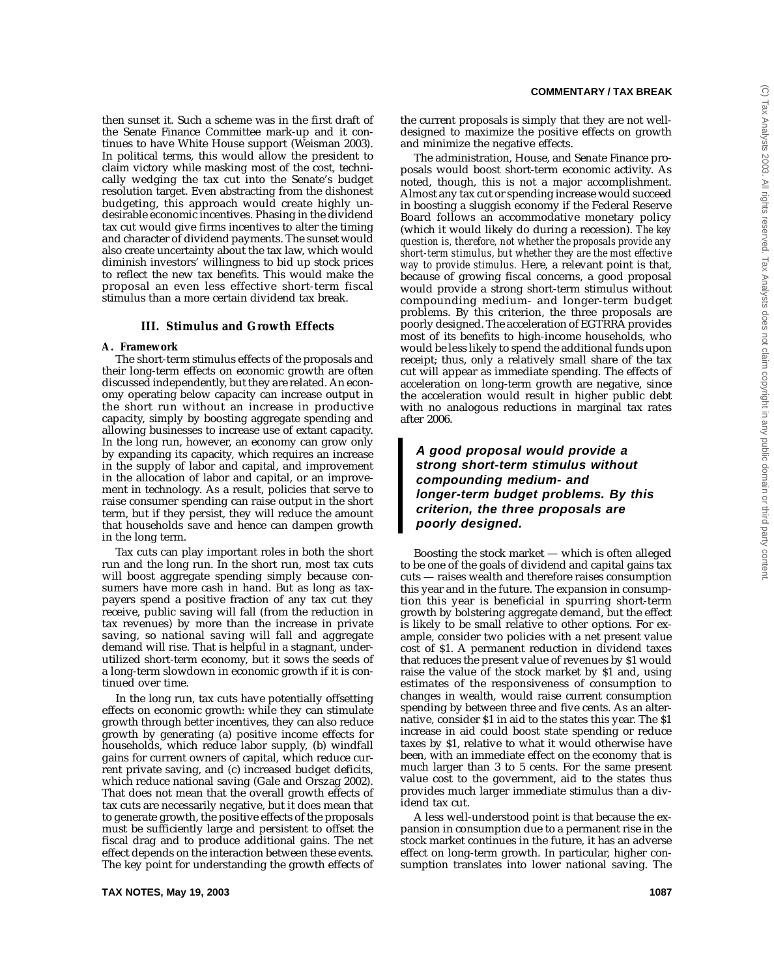then sunset it. Such a scheme was in the first draft of the Senate Finance Committee mark-up and it continues to have White House support (Weisman 2003). In political terms, this would allow the president to claim victory while masking most of the cost, technically wedging the tax cut into the Senate's budget resolution target. Even abstracting from the dishonest budgeting, this approach would create highly undesirable economic incentives. Phasing in the dividend tax cut would give firms incentives to alter the timing and character of dividend payments. The sunset would also create uncertainty about the tax law, which would diminish investors' willingness to bid up stock prices to reflect the new tax benefits. This would make the proposal an even less effective short-term fiscal stimulus than a more certain dividend tax break.

#### **III. Stimulus and Growth Effects**

#### **A. Framework**

The short-term stimulus effects of the proposals and their long-term effects on economic growth are often discussed independently, but they are related. An economy operating below capacity can increase output in the short run without an increase in productive capacity, simply by boosting aggregate spending and allowing businesses to increase use of extant capacity. In the long run, however, an economy can grow only by expanding its capacity, which requires an increase in the supply of labor and capital, and improvement in the allocation of labor and capital, or an improvement in technology. As a result, policies that serve to raise consumer spending can raise output in the short term, but if they persist, they will reduce the amount that households save and hence can dampen growth in the long term.

Tax cuts can play important roles in both the short run and the long run. In the short run, most tax cuts will boost aggregate spending simply because consumers have more cash in hand. But as long as taxpayers spend a positive fraction of any tax cut they receive, public saving will fall (from the reduction in tax revenues) by more than the increase in private saving, so national saving will fall and aggregate demand will rise. That is helpful in a stagnant, underutilized short-term economy, but it sows the seeds of a long-term slowdown in economic growth if it is continued over time.

In the long run, tax cuts have potentially offsetting effects on economic growth: while they can stimulate growth through better incentives, they can also reduce growth by generating (a) positive income effects for households, which reduce labor supply, (b) windfall gains for current owners of capital, which reduce current private saving, and (c) increased budget deficits, which reduce national saving (Gale and Orszag 2002). That does not mean that the overall growth effects of tax cuts are necessarily negative, but it does mean that to generate growth, the positive effects of the proposals must be sufficiently large and persistent to offset the fiscal drag and to produce additional gains. The net effect depends on the interaction between these events. The key point for understanding the growth effects of

the current proposals is simply that they are not welldesigned to maximize the positive effects on growth and minimize the negative effects.

The administration, House, and Senate Finance proposals would boost short-term economic activity. As noted, though, this is not a major accomplishment. Almost any tax cut or spending increase would succeed in boosting a sluggish economy if the Federal Reserve Board follows an accommodative monetary policy (which it would likely do during a recession). *The key question is, therefore, not whether the proposals provide any short-term stimulus, but whether they are the most effective way to provide stimulus.* Here, a relevant point is that, because of growing fiscal concerns, a good proposal would provide a strong short-term stimulus without compounding medium- and longer-term budget problems. By this criterion, the three proposals are poorly designed. The acceleration of EGTRRA provides most of its benefits to high-income households, who would be less likely to spend the additional funds upon receipt; thus, only a relatively small share of the tax cut will appear as immediate spending. The effects of acceleration on long-term growth are negative, since the acceleration would result in higher public debt with no analogous reductions in marginal tax rates after 2006.

## **A good proposal would provide a strong short-term stimulus without compounding medium- and longer-term budget problems. By this criterion, the three proposals are poorly designed.**

Boosting the stock market — which is often alleged to be one of the goals of dividend and capital gains tax cuts — raises wealth and therefore raises consumption this year and in the future. The expansion in consumption this year is beneficial in spurring short-term growth by bolstering aggregate demand, but the effect is likely to be small relative to other options. For example, consider two policies with a net present value cost of \$1. A permanent reduction in dividend taxes that reduces the present value of revenues by \$1 would raise the value of the stock market by \$1 and, using estimates of the responsiveness of consumption to changes in wealth, would raise current consumption spending by between three and five cents. As an alternative, consider \$1 in aid to the states this year. The \$1 increase in aid could boost state spending or reduce taxes by \$1, relative to what it would otherwise have been, with an immediate effect on the economy that is much larger than 3 to 5 cents. For the same present value cost to the government, aid to the states thus provides much larger immediate stimulus than a dividend tax cut.

A less well-understood point is that because the expansion in consumption due to a permanent rise in the stock market continues in the future, it has an adverse effect on long-term growth. In particular, higher consumption translates into lower national saving. The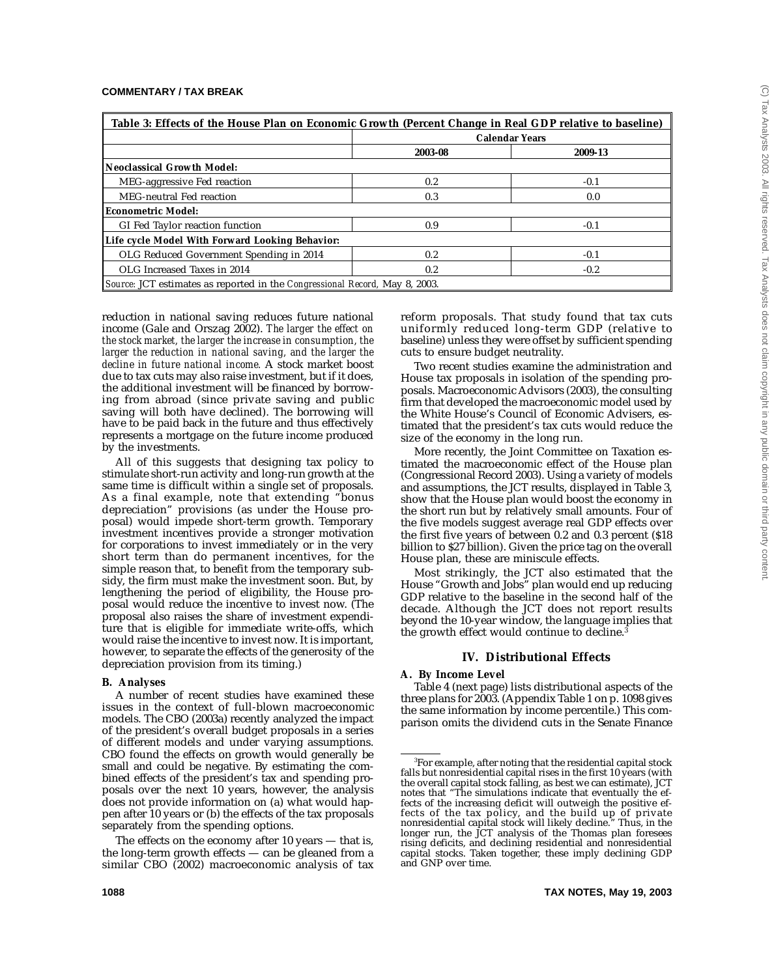| Table 3: Effects of the House Plan on Economic Growth (Percent Change in Real GDP relative to baseline) |         |                       |  |  |  |  |  |
|---------------------------------------------------------------------------------------------------------|---------|-----------------------|--|--|--|--|--|
|                                                                                                         |         | <b>Calendar Years</b> |  |  |  |  |  |
|                                                                                                         | 2003-08 | 2009-13               |  |  |  |  |  |
| Neoclassical Growth Model:                                                                              |         |                       |  |  |  |  |  |
| MEG-aggressive Fed reaction                                                                             | 0.2     | $-0.1$                |  |  |  |  |  |
| MEG-neutral Fed reaction                                                                                | 0.3     | 0.0                   |  |  |  |  |  |
| <b>Econometric Model:</b>                                                                               |         |                       |  |  |  |  |  |
| GI Fed Taylor reaction function                                                                         | 0.9     | $-0.1$                |  |  |  |  |  |
| Life cycle Model With Forward Looking Behavior:                                                         |         |                       |  |  |  |  |  |
| OLG Reduced Government Spending in 2014                                                                 | 0.2     | $-0.1$                |  |  |  |  |  |
| OLG Increased Taxes in 2014                                                                             | 0.2     | $-0.2$                |  |  |  |  |  |
| Source: JCT estimates as reported in the Congressional Record, May 8, 2003.                             |         |                       |  |  |  |  |  |

reduction in national saving reduces future national income (Gale and Orszag 2002). *The larger the effect on the stock market, the larger the increase in consumption, the larger the reduction in national saving, and the larger the decline in future national income.* A stock market boost due to tax cuts may also raise investment, but if it does, the additional investment will be financed by borrowing from abroad (since private saving and public saving will both have declined). The borrowing will have to be paid back in the future and thus effectively represents a mortgage on the future income produced by the investments.

All of this suggests that designing tax policy to stimulate short-run activity and long-run growth at the same time is difficult within a single set of proposals. As a final example, note that extending "bonus depreciation" provisions (as under the House proposal) would impede short-term growth. Temporary investment incentives provide a stronger motivation for corporations to invest immediately or in the very short term than do permanent incentives, for the simple reason that, to benefit from the temporary subsidy, the firm must make the investment soon. But, by lengthening the period of eligibility, the House proposal would reduce the incentive to invest now. (The proposal also raises the share of investment expenditure that is eligible for immediate write-offs, which would raise the incentive to invest now. It is important, however, to separate the effects of the generosity of the depreciation provision from its timing.)

#### **B. Analyses**

A number of recent studies have examined these issues in the context of full-blown macroeconomic models. The CBO (2003a) recently analyzed the impact of the president's overall budget proposals in a series of different models and under varying assumptions. CBO found the effects on growth would generally be small and could be negative. By estimating the combined effects of the president's tax and spending proposals over the next 10 years, however, the analysis does not provide information on (a) what would happen after 10 years or (b) the effects of the tax proposals separately from the spending options.

The effects on the economy after 10 years — that is, the long-term growth effects — can be gleaned from a similar CBO (2002) macroeconomic analysis of tax reform proposals. That study found that tax cuts uniformly reduced long-term GDP (relative to baseline) unless they were offset by sufficient spending cuts to ensure budget neutrality.

Two recent studies examine the administration and House tax proposals in isolation of the spending proposals. Macroeconomic Advisors (2003), the consulting firm that developed the macroeconomic model used by the White House's Council of Economic Advisers, estimated that the president's tax cuts would reduce the size of the economy in the long run.

More recently, the Joint Committee on Taxation estimated the macroeconomic effect of the House plan (Congressional Record 2003). Using a variety of models and assumptions, the JCT results, displayed in Table 3, show that the House plan would boost the economy in the short run but by relatively small amounts. Four of the five models suggest average real GDP effects over the first five years of between  $0.2$  and 0.3 percent (\$18) billion to \$27 billion). Given the price tag on the overall House plan, these are miniscule effects.

Most strikingly, the JCT also estimated that the House "Growth and Jobs" plan would end up reducing GDP relative to the baseline in the second half of the decade. Although the JCT does not report results beyond the 10-year window, the language implies that the growth effect would continue to decline.<sup>3</sup>

#### **IV. Distributional Effects**

#### **A. By Income Level**

Table 4 (next page) lists distributional aspects of the three plans for 2003. (Appendix Table 1 on p. 1098 gives the same information by income percentile.) This comparison omits the dividend cuts in the Senate Finance

 $^{\rm 3}$ For example, after noting that the residential capital stock falls but nonresidential capital rises in the first 10 years (with the overall capital stock falling, as best we can estimate), JCT notes that "The simulations indicate that eventually the effects of the increasing deficit will outweigh the positive effects of the tax policy, and the build up of private nonresidential capital stock will likely decline." Thus, in the longer run, the JCT analysis of the Thomas plan foresees rising deficits, and declining residential and nonresidential capital stocks. Taken together, these imply declining GDP and GNP over time.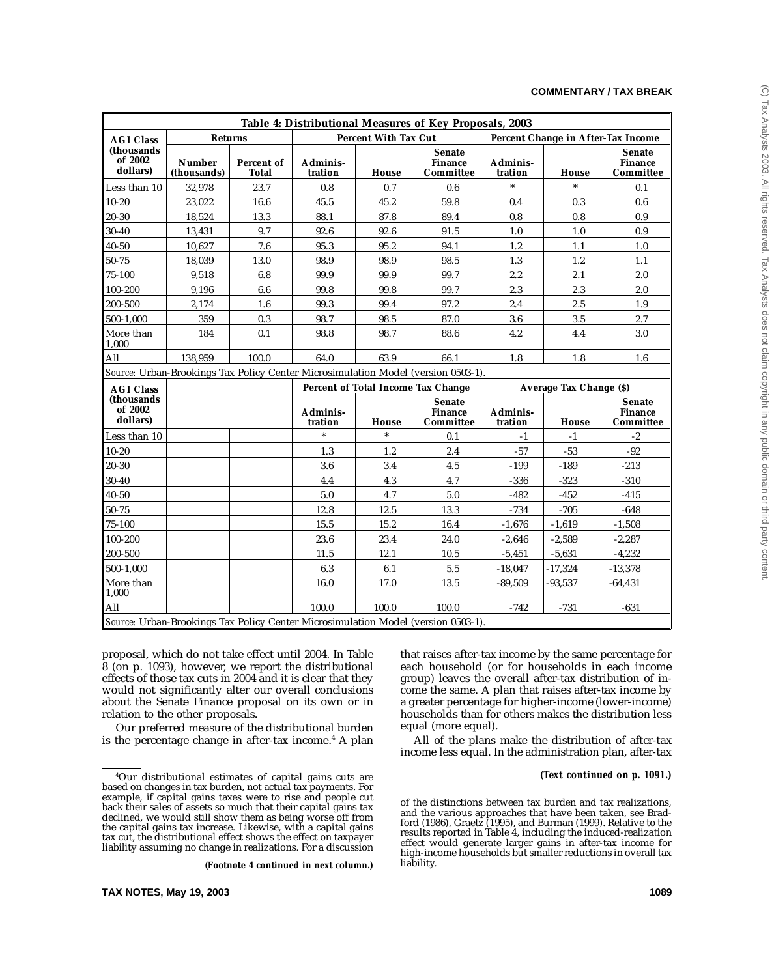|                                    | Table 4: Distributional Measures of Key Proposals, 2003 |                     |                     |                                    |                                                                                   |                     |                                    |                                              |  |  |
|------------------------------------|---------------------------------------------------------|---------------------|---------------------|------------------------------------|-----------------------------------------------------------------------------------|---------------------|------------------------------------|----------------------------------------------|--|--|
| <b>AGI Class</b>                   | <b>Returns</b>                                          |                     |                     | <b>Percent With Tax Cut</b>        |                                                                                   |                     | Percent Change in After-Tax Income |                                              |  |  |
| (thousands<br>of 2002<br>dollars)  | <b>Number</b><br>(thousands)                            | Percent of<br>Total | Adminis-<br>tration | House                              | <b>Senate</b><br><b>Finance</b><br>Committee                                      | Adminis-<br>tration | House                              | <b>Senate</b><br><b>Finance</b><br>Committee |  |  |
| Less than 10                       | 32,978                                                  | 23.7                | 0.8                 | 0.7                                | 0.6                                                                               |                     | $\ast$                             | 0.1                                          |  |  |
| $10 - 20$                          | 23,022                                                  | 16.6                | 45.5                | 45.2                               | 59.8                                                                              | 0.4                 | 0.3                                | 0.6                                          |  |  |
| $20 - 30$                          | 18,524                                                  | 13.3                | 88.1                | 87.8                               | 89.4                                                                              | 0.8                 | 0.8                                | 0.9                                          |  |  |
| $30 - 40$                          | 13,431                                                  | 9.7                 | 92.6                | 92.6                               | 91.5                                                                              | 1.0                 | 1.0                                | 0.9                                          |  |  |
| $40 - 50$                          | 10,627                                                  | 7.6                 | 95.3                | 95.2                               | 94.1                                                                              | 1.2                 | 1.1                                | 1.0                                          |  |  |
| 50-75                              | 18,039                                                  | 13.0                | 98.9                | 98.9                               | 98.5                                                                              | 1.3                 | 1.2                                | 1.1                                          |  |  |
| 75-100                             | 9,518                                                   | 6.8                 | 99.9                | 99.9                               | 99.7                                                                              | 2.2                 | 2.1                                | 2.0                                          |  |  |
| 100-200                            | 9,196                                                   | 6.6                 | 99.8                | 99.8                               | 99.7                                                                              | 2.3                 | 2.3                                | 2.0                                          |  |  |
| 200-500                            | 2,174                                                   | 1.6                 | 99.3                | 99.4                               | 97.2                                                                              | 2.4                 | 2.5                                | 1.9                                          |  |  |
| $500 - 1,000$                      | 359                                                     | 0.3                 | 98.7                | 98.5                               | 87.0                                                                              | 3.6                 | 3.5                                | 2.7                                          |  |  |
| More than<br>1,000                 | 184                                                     | 0.1                 | 98.8                | 98.7                               | 88.6                                                                              | 4.2                 | 4.4                                | 3.0                                          |  |  |
| All                                | 138,959                                                 | 100.0               | 64.0                | 63.9                               | 66.1                                                                              | 1.8                 | 1.8                                | 1.6                                          |  |  |
|                                    |                                                         |                     |                     |                                    | Source: Urban-Brookings Tax Policy Center Microsimulation Model (version 0503-1). |                     |                                    |                                              |  |  |
| <b>AGI Class</b>                   |                                                         |                     |                     | Percent of Total Income Tax Change |                                                                                   |                     | Average Tax Change (\$)            |                                              |  |  |
| (thousands)<br>of 2002<br>dollars) |                                                         |                     | Adminis-<br>tration | House                              | <b>Senate</b><br><b>Finance</b><br>Committee                                      | Adminis-<br>tration | <b>House</b>                       | <b>Senate</b><br><b>Finance</b><br>Committee |  |  |
| Less than 10                       |                                                         |                     | $\ast$              |                                    | 0.1                                                                               | -1                  | $-1$                               | $-2$                                         |  |  |
| $10 - 20$                          |                                                         |                     | 1.3                 | 1.2                                | 2.4                                                                               | $-57$               | $-53$                              | $-92$                                        |  |  |
| 20-30                              |                                                         |                     | 3.6                 | 3.4                                | 4.5                                                                               | $-199$              | $-189$                             | $-213$                                       |  |  |
| $30 - 40$                          |                                                         |                     | 4.4                 | 4.3                                | 4.7                                                                               | $-336$              | $-323$                             | $-310$                                       |  |  |
| $40 - 50$                          |                                                         |                     | 5.0                 | 4.7                                | 5.0                                                                               | $-482$              | $-452$                             | $-415$                                       |  |  |
| $50 - 75$                          |                                                         |                     | 12.8                | 12.5                               | 13.3                                                                              | $-734$              | $-705$                             | $-648$                                       |  |  |
| $75 - 100$                         |                                                         |                     | 15.5                | 15.2                               | 16.4                                                                              | $-1,676$            | $-1,619$                           | $-1,508$                                     |  |  |
| 100-200                            |                                                         |                     | 23.6                | 23.4                               | 24.0                                                                              | $-2,646$            | $-2,589$                           | $-2,287$                                     |  |  |
| 200-500                            |                                                         |                     | 11.5                | 12.1                               | 10.5                                                                              | $-5,451$            | $-5,631$                           | $-4,232$                                     |  |  |
| 500-1,000                          |                                                         |                     | 6.3                 | 6.1                                | 5.5                                                                               | $-18,047$           | $-17,324$                          | $-13,378$                                    |  |  |
| More than<br>1,000                 |                                                         |                     | 16.0                | 17.0                               | 13.5                                                                              | $-89,509$           | $-93,537$                          | $-64, 431$                                   |  |  |
| All                                |                                                         |                     | 100.0               | 100.0                              | 100.0                                                                             | $-742$              | $-731$                             | $-631$                                       |  |  |
|                                    |                                                         |                     |                     |                                    | Source: Urban-Brookings Tax Policy Center Microsimulation Model (version 0503-1). |                     |                                    |                                              |  |  |

proposal, which do not take effect until 2004. In Table 8 (on p. 1093), however, we report the distributional effects of those tax cuts in 2004 and it is clear that they would not significantly alter our overall conclusions about the Senate Finance proposal on its own or in relation to the other proposals.

Our preferred measure of the distributional burden is the percentage change in after-tax income.4 A plan

**(Footnote 4 continued in next column.)**

that raises after-tax income by the same percentage for each household (or for households in each income group) leaves the overall after-tax distribution of income the same. A plan that raises after-tax income by a greater percentage for higher-income (lower-income) households than for others makes the distribution less equal (more equal).

All of the plans make the distribution of after-tax income less equal. In the administration plan, after-tax

#### *(Text continued on p. 1091.)*

<sup>4</sup> Our distributional estimates of capital gains cuts are based on changes in tax burden, not actual tax payments. For example, if capital gains taxes were to rise and people cut back their sales of assets so much that their capital gains tax declined, we would still show them as being worse off from the capital gains tax increase. Likewise, with a capital gains tax cut, the distributional effect shows the effect on taxpayer liability assuming no change in realizations. For a discussion

of the distinctions between tax burden and tax realizations, and the various approaches that have been taken, see Bradford (1986), Graetz (1995), and Burman (1999). Relative to the results reported in Table 4, including the induced-realization effect would generate larger gains in after-tax income for high-income households but smaller reductions in overall tax liability.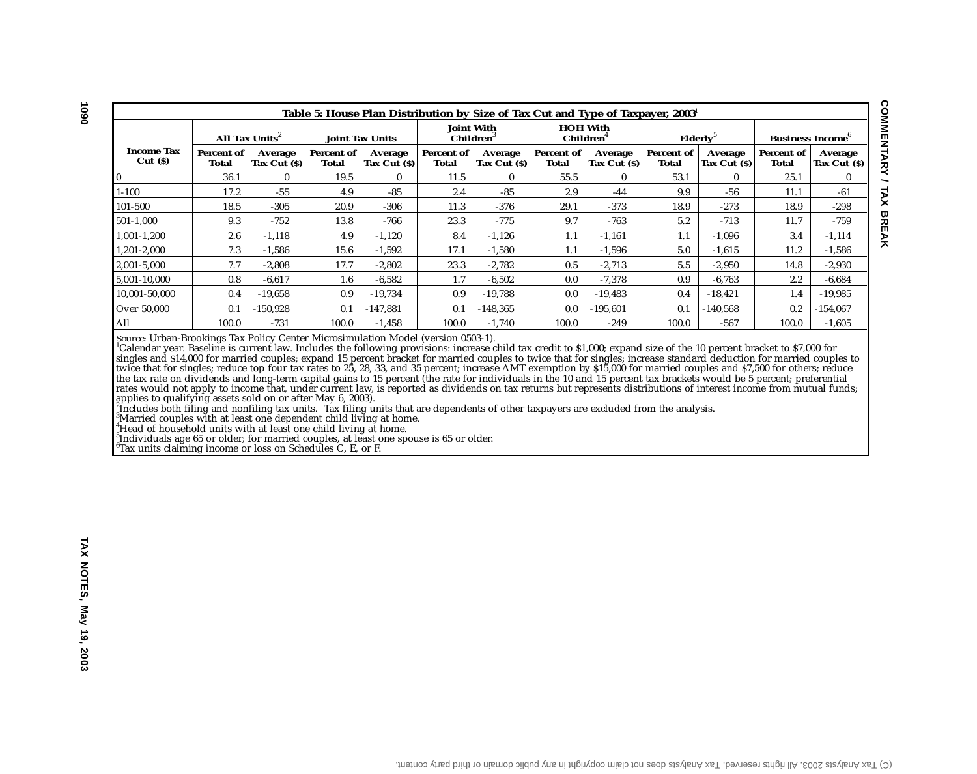|                             | Table 5: House Plan Distribution by Size of Tax Cut and Type of Taxpayer, 2003 |                        |                     |                                            |                     |                          |                                          |                          |                     |                                     |                     |                          |  |
|-----------------------------|--------------------------------------------------------------------------------|------------------------|---------------------|--------------------------------------------|---------------------|--------------------------|------------------------------------------|--------------------------|---------------------|-------------------------------------|---------------------|--------------------------|--|
|                             | All Tax Units <sup>2</sup><br><b>Joint Tax Units</b>                           |                        |                     | <b>Joint With</b><br>Children <sup>3</sup> |                     |                          | <b>HOH With</b><br>Children <sup>4</sup> | Elderlv <sup>5</sup>     |                     | <b>Business Income</b> <sup>b</sup> |                     |                          |  |
| <b>Income Tax</b><br>Cut(S) | Percent of<br>Total                                                            | Average<br>Tax Cut (S) | Percent of<br>Total | Average<br>Tax Cut $(s)$                   | Percent of<br>Total | Average<br>Tax Cut $(S)$ | Percent of<br>Total                      | Average<br>Tax Cut $(S)$ | Percent of<br>Total | Average<br>Tax Cut $(S)$            | Percent of<br>Total | Average<br>Tax Cut $(S)$ |  |
|                             | 36.1                                                                           | $\mathbf{0}$           | 19.5                | $\mathbf{0}$                               | 11.5                | $\mathbf{0}$             | 55.5                                     | $\mathbf{0}$             | 53.1                | $\mathbf{0}$                        | 25.1                | $\bf{0}$                 |  |
| $1 - 100$                   | 17.2                                                                           | $-55$                  | 4.9                 | $-85$                                      | 2.4                 | $-85$                    | 2.9                                      | $-44$                    | 9.9                 | $-56$                               | 11.1                | -61                      |  |
| 101-500                     | 18.5                                                                           | $-305$                 | 20.9                | $-306$                                     | 11.3                | $-376$                   | 29.1                                     | $-373$                   | 18.9                | $-273$                              | 18.9                | $-298$                   |  |
| 501-1.000                   | 9.3                                                                            | $-752$                 | 13.8                | -766                                       | 23.3                | $-775$                   | 9.7                                      | $-763$                   | 5.2                 | $-713$                              | 11.7                | $-759$                   |  |
| 1.001-1.200                 | 2.6                                                                            | $-1.118$               | 4.9                 | $-1.120$                                   | 8.4                 | $-1.126$                 | 1.1                                      | $-1.161$                 | 1.1                 | $-1.096$                            | 3.4                 | $-1.114$                 |  |
| 1,201-2,000                 | 7.3                                                                            | $-1,586$               | 15.6                | $-1,592$                                   | 17.1                | $-1,580$                 | 1.1                                      | $-1,596$                 | 5.0                 | $-1,615$                            | 11.2                | $-1,586$                 |  |
| 2.001-5.000                 | 7.7                                                                            | $-2.808$               | 17.7                | $-2,802$                                   | 23.3                | $-2,782$                 | 0.5                                      | $-2,713$                 | 5.5                 | $-2,950$                            | 14.8                | $-2,930$                 |  |
| 5,001-10,000                | 0.8                                                                            | $-6,617$               | $1.6\,$             | $-6,582$                                   | 1.7                 | $-6,502$                 | 0.0                                      | $-7,378$                 | 0.9                 | $-6,763$                            | 2.2                 | $-6,684$                 |  |
| 10,001-50,000               | 0.4                                                                            | $-19,658$              | 0.9                 | $-19,734$                                  | 0.9                 | $-19,788$                | 0.0                                      | $-19,483$                | 0.4                 | $-18,421$                           | 1.4                 | $-19,985$                |  |
| Over 50,000                 | 0.1                                                                            | $-150.928$             | 0.1                 | $-147.881$                                 | 0.1                 | $-148,365$               | 0.0                                      | $-195.601$               | 0.1                 | $-140.568$                          | 0.2                 | $-154,067$               |  |
| All                         | 100.0                                                                          | $-731$                 | 100.0               | $-1,458$                                   | 100.0               | $-1,740$                 | 100.0                                    | $-249$                   | 100.0               | $-567$                              | 100.0               | $-1,605$                 |  |

*Source:* Urban-Brookings Tax Policy Center Microsimulation Model (version 0503-1).<br><sup>1</sup>Calendar year. Baseline is current law. Includes the following provisions: increase child tax credit to \$1,000; expand size of the 10 p singles and \$14,000 for married couples; expand 15 percent bracket for married couples to twice that for singles; increase standard deduction for married couples to twice that for singles; reduce top four tax rates to 25, 28, 33, and 35 percent; increase AMT exemption by \$15,000 for married couples and \$7,500 for others; reduce the tax rate on dividends and long-term capital gains to 15 percent (the rate for individuals in the 10 and 15 percent tax brackets would be 5 percent; preferential rates would not apply to income that, under current law, is reported as dividends on tax returns but represents distributions of interest income from mutual funds; applies to qualifying assets sold on or after May 6, 2003).<br>'Includes both filing and nonfiling tax units. Tax filing units that are dependents of other taxpayers are excluded from the analysis.<br>'Married couples with at l

 $^{4}_{7}$ Head of household units with at least one child living at home.

 $^5$ Individuals age 65 or older; for married couples, at least one spouse is 65 or older.

 $6$ Tax units claiming income or loss on Schedules C, E, or F.

**COMMENTARY / TAX BREAK**

**COMMENTARY / TAX BREAK**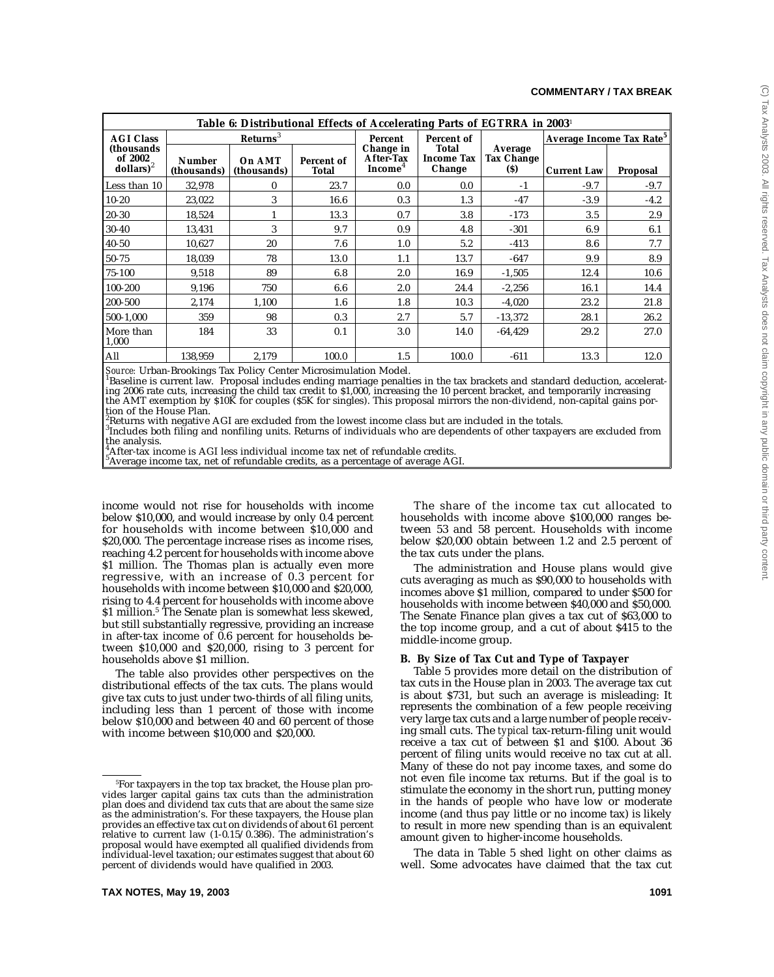|                                                 | Table 6: Distributional Effects of Accelerating Parts of EGTRRA in 2003 <sup>1</sup> |                       |                            |                                               |                                             |                                     |                                      |                 |  |  |  |  |
|-------------------------------------------------|--------------------------------------------------------------------------------------|-----------------------|----------------------------|-----------------------------------------------|---------------------------------------------|-------------------------------------|--------------------------------------|-----------------|--|--|--|--|
| <b>AGI Class</b>                                |                                                                                      | Returns <sup>3</sup>  |                            | Percent                                       | Percent of                                  |                                     | Average Income Tax Rate <sup>5</sup> |                 |  |  |  |  |
| (thousands)<br>of 2002<br>dollars) <sup>2</sup> | <b>Number</b><br>(thousands)                                                         | On AMT<br>(thousands) | Percent of<br><b>Total</b> | Change in<br>After-Tax<br>Income <sup>4</sup> | <b>Total</b><br><b>Income Tax</b><br>Change | Average<br><b>Tax Change</b><br>(S) | <b>Current Law</b>                   | <b>Proposal</b> |  |  |  |  |
| Less than 10                                    | 32,978                                                                               | $\bf{0}$              | 23.7                       | 0.0                                           | 0.0                                         | $-1$                                | $-9.7$                               | $-9.7$          |  |  |  |  |
| $10 - 20$                                       | 23,022                                                                               | 3                     | 16.6                       | 0.3                                           | 1.3                                         | $-47$                               | $-3.9$                               | $-4.2$          |  |  |  |  |
| $20 - 30$                                       | 18,524                                                                               | 1                     | 13.3                       | 0.7                                           | 3.8                                         | $-173$                              | 3.5                                  | 2.9             |  |  |  |  |
| $30 - 40$                                       | 13,431                                                                               | 3                     | 9.7                        | 0.9                                           | 4.8                                         | $-301$                              | 6.9                                  | 6.1             |  |  |  |  |
| $40 - 50$                                       | 10,627                                                                               | 20                    | 7.6                        | 1.0                                           | 5.2                                         | $-413$                              | 8.6                                  | 7.7             |  |  |  |  |
| 50-75                                           | 18,039                                                                               | 78                    | 13.0                       | 1.1                                           | 13.7                                        | $-647$                              | 9.9                                  | 8.9             |  |  |  |  |
| 75-100                                          | 9,518                                                                                | 89                    | 6.8                        | 2.0                                           | 16.9                                        | $-1,505$                            | 12.4                                 | 10.6            |  |  |  |  |
| 100-200                                         | 9,196                                                                                | 750                   | 6.6                        | 2.0                                           | 24.4                                        | $-2,256$                            | 16.1                                 | 14.4            |  |  |  |  |
| 200-500                                         | 2,174                                                                                | 1,100                 | 1.6                        | 1.8                                           | 10.3                                        | $-4,020$                            | 23.2                                 | 21.8            |  |  |  |  |
| 500-1,000                                       | 359                                                                                  | 98                    | 0.3                        | 2.7                                           | 5.7                                         | $-13,372$                           | 28.1                                 | 26.2            |  |  |  |  |
| More than<br>1,000                              | 184                                                                                  | 33                    | 0.1                        | 3.0                                           | 14.0                                        | $-64,429$                           | 29.2                                 | 27.0            |  |  |  |  |
| All                                             | 138,959                                                                              | 2,179                 | 100.0                      | 1.5                                           | 100.0                                       | $-611$                              | 13.3                                 | 12.0            |  |  |  |  |

*Source:* Urban-Brookings Tax Policy Center Microsimulation Model. <sup>1</sup>

 $^{\rm l}$ Baseline is current law. Proposal includes ending marriage penalties in the tax brackets and standard deduction, accelerating 2006 rate cuts, increasing the child tax credit to \$1,000, increasing the 10 percent bracket, and temporarily increasing the AMT exemption by \$10K for couples (\$5K for singles). This proposal mirrors the non-dividend, non-capital gains portion of the House Plan.

 $^2_\mathrm{e}$ Returns with negative AGI are excluded from the lowest income class but are included in the totals.

 $^3$ Includes both filing and nonfiling units. Returns of individuals who are dependents of other taxpayers are excluded from the analysis.

 $^{4}_{\sim}$ After-tax income is AGI less individual income tax net of refundable credits.

 $^5$ Average income tax, net of refundable credits, as a percentage of average AGI.

income would not rise for households with income below \$10,000, and would increase by only 0.4 percent for households with income between \$10,000 and \$20,000. The percentage increase rises as income rises, reaching 4.2 percent for households with income above \$1 million. The Thomas plan is actually even more regressive, with an increase of 0.3 percent for households with income between \$10,000 and \$20,000, rising to 4.4 percent for households with income above \$1 million.<sup>5</sup> The Senate plan is somewhat less skewed, but still substantially regressive, providing an increase in after-tax income of 0.6 percent for households between \$10,000 and \$20,000, rising to 3 percent for households above \$1 million.

The table also provides other perspectives on the distributional effects of the tax cuts. The plans would give tax cuts to just under two-thirds of all filing units, including less than 1 percent of those with income below \$10,000 and between 40 and 60 percent of those with income between \$10,000 and \$20,000.

The share of the income tax cut allocated to households with income above \$100,000 ranges between 53 and 58 percent. Households with income below \$20,000 obtain between 1.2 and 2.5 percent of the tax cuts under the plans.

The administration and House plans would give cuts averaging as much as \$90,000 to households with incomes above \$1 million, compared to under \$500 for households with income between \$40,000 and \$50,000. The Senate Finance plan gives a tax cut of \$63,000 to the top income group, and a cut of about \$415 to the middle-income group.

#### **B. By Size of Tax Cut and Type of Taxpayer**

Table 5 provides more detail on the distribution of tax cuts in the House plan in 2003. The average tax cut is about \$731, but such an average is misleading: It represents the combination of a few people receiving very large tax cuts and a large number of people receiving small cuts. The *typical* tax-return-filing unit would receive a tax cut of between \$1 and \$100. About 36 percent of filing units would receive no tax cut at all. Many of these do not pay income taxes, and some do not even file income tax returns. But if the goal is to stimulate the economy in the short run, putting money in the hands of people who have low or moderate income (and thus pay little or no income tax) is likely to result in more new spending than is an equivalent amount given to higher-income households.

The data in Table 5 shed light on other claims as well. Some advocates have claimed that the tax cut

<sup>5</sup> For taxpayers in the top tax bracket, the House plan provides larger capital gains tax cuts than the administration plan does and dividend tax cuts that are about the same size as the administration's. For these taxpayers, the House plan provides an effective tax cut on dividends of about 61 percent relative to current law (1-0.15/0.386). The administration's proposal would have exempted all qualified dividends from individual-level taxation; our estimates suggest that about 60 percent of dividends would have qualified in 2003.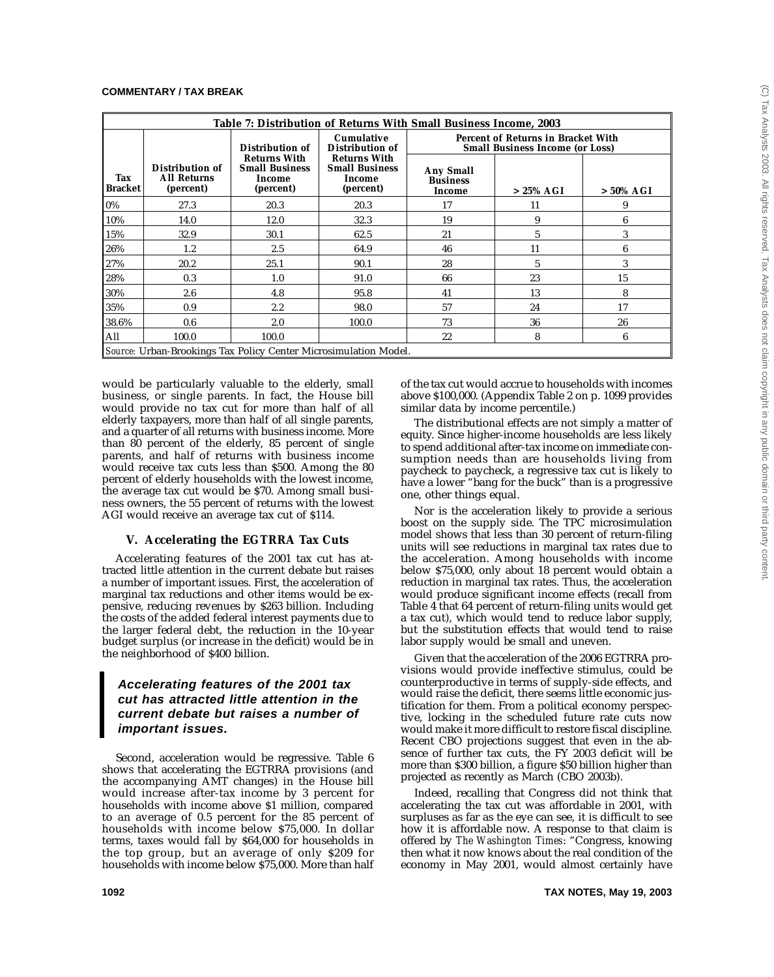|                       | Table 7: Distribution of Returns With Small Business Income, 2003 |                                                                     |                                                                     |                                                                                     |             |              |  |  |  |  |  |  |
|-----------------------|-------------------------------------------------------------------|---------------------------------------------------------------------|---------------------------------------------------------------------|-------------------------------------------------------------------------------------|-------------|--------------|--|--|--|--|--|--|
|                       |                                                                   | Distribution of                                                     | <b>Cumulative</b><br>Distribution of                                | <b>Percent of Returns in Bracket With</b><br><b>Small Business Income (or Loss)</b> |             |              |  |  |  |  |  |  |
| Tax<br><b>Bracket</b> | Distribution of<br><b>All Returns</b><br>(percent)                | <b>Returns With</b><br><b>Small Business</b><br>Income<br>(percent) | <b>Returns With</b><br><b>Small Business</b><br>Income<br>(percent) | <b>Any Small</b><br><b>Business</b><br>Income                                       | $>25\%$ AGI | $> 50\%$ AGI |  |  |  |  |  |  |
| 0%                    | 27.3                                                              | 20.3                                                                | 20.3                                                                | 17                                                                                  | 11          | 9            |  |  |  |  |  |  |
| 10%                   | 14.0                                                              | 12.0                                                                | 32.3                                                                | 19                                                                                  | 9           | 6            |  |  |  |  |  |  |
| 15%                   | 32.9                                                              | 30.1                                                                | 62.5                                                                | 21                                                                                  | 5           | 3            |  |  |  |  |  |  |
| 26%                   | 1.2                                                               | 2.5                                                                 | 64.9                                                                | 46                                                                                  | 11          | 6            |  |  |  |  |  |  |
| 27%                   | 20.2                                                              | 25.1                                                                | 90.1                                                                | 28                                                                                  | 5           | 3            |  |  |  |  |  |  |
| 28%                   | 0.3                                                               | 1.0                                                                 | 91.0                                                                | 66                                                                                  | 23          | 15           |  |  |  |  |  |  |
| 30%                   | 2.6                                                               | 4.8                                                                 | 95.8                                                                | 41                                                                                  | 13          | 8            |  |  |  |  |  |  |
| 35%                   | 0.9                                                               | $2.2\,$                                                             | 98.0                                                                | 57                                                                                  | 24          | 17           |  |  |  |  |  |  |
| 38.6%                 | 0.6                                                               | 2.0                                                                 | 100.0                                                               | 73                                                                                  | 36          | 26           |  |  |  |  |  |  |
| All                   | 100.0                                                             | 100.0                                                               |                                                                     | 22                                                                                  | 8           | 6            |  |  |  |  |  |  |
|                       |                                                                   | Source: Urban-Brookings Tax Policy Center Microsimulation Model.    |                                                                     |                                                                                     |             |              |  |  |  |  |  |  |

would be particularly valuable to the elderly, small business, or single parents. In fact, the House bill would provide no tax cut for more than half of all elderly taxpayers, more than half of all single parents, and a quarter of all returns with business income. More than 80 percent of the elderly, 85 percent of single parents, and half of returns with business income would receive tax cuts less than \$500. Among the 80 percent of elderly households with the lowest income, the average tax cut would be \$70. Among small business owners, the 55 percent of returns with the lowest AGI would receive an average tax cut of \$114.

## **V. Accelerating the EGTRRA Tax Cuts**

Accelerating features of the 2001 tax cut has attracted little attention in the current debate but raises a number of important issues. First, the acceleration of marginal tax reductions and other items would be expensive, reducing revenues by \$263 billion. Including the costs of the added federal interest payments due to the larger federal debt, the reduction in the 10-year budget surplus (or increase in the deficit) would be in the neighborhood of \$400 billion.

## **Accelerating features of the 2001 tax cut has attracted little attention in the current debate but raises a number of important issues.**

Second, acceleration would be regressive. Table 6 shows that accelerating the EGTRRA provisions (and the accompanying AMT changes) in the House bill would increase after-tax income by 3 percent for households with income above \$1 million, compared to an average of 0.5 percent for the 85 percent of households with income below \$75,000. In dollar terms, taxes would fall by \$64,000 for households in the top group, but an average of only \$209 for households with income below \$75,000. More than half of the tax cut would accrue to households with incomes above \$100,000. (Appendix Table 2 on p. 1099 provides similar data by income percentile.)

The distributional effects are not simply a matter of equity. Since higher-income households are less likely to spend additional after-tax income on immediate consumption needs than are households living from paycheck to paycheck, a regressive tax cut is likely to have a lower "bang for the buck" than is a progressive one, other things equal.

Nor is the acceleration likely to provide a serious boost on the supply side. The TPC microsimulation model shows that less than 30 percent of return-filing units will see reductions in marginal tax rates due to the acceleration. Among households with income below \$75,000, only about 18 percent would obtain a reduction in marginal tax rates. Thus, the acceleration would produce significant income effects (recall from Table 4 that 64 percent of return-filing units would get a tax cut), which would tend to reduce labor supply, but the substitution effects that would tend to raise labor supply would be small and uneven.

Given that the acceleration of the 2006 EGTRRA provisions would provide ineffective stimulus, could be counterproductive in terms of supply-side effects, and would raise the deficit, there seems little economic justification for them. From a political economy perspective, locking in the scheduled future rate cuts now would make it more difficult to restore fiscal discipline. Recent CBO projections suggest that even in the absence of further tax cuts, the FY 2003 deficit will be more than \$300 billion, a figure \$50 billion higher than projected as recently as March (CBO 2003b).

Indeed, recalling that Congress did not think that accelerating the tax cut was affordable in 2001, with surpluses as far as the eye can see, it is difficult to see how it is affordable now. A response to that claim is offered by *The Washington Times*: "Congress, knowing then what it now knows about the real condition of the economy in May 2001, would almost certainly have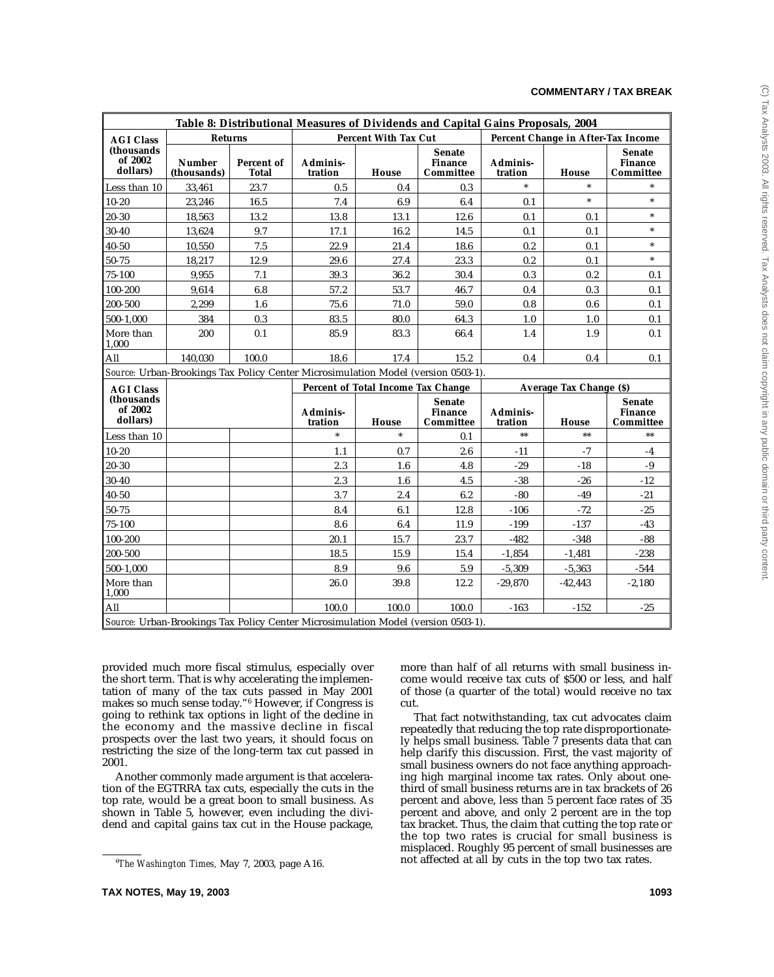|                                    |                              |                     |                     |                                    | Table 8: Distributional Measures of Dividends and Capital Gains Proposals, 2004   |                     |                                    |                                              |
|------------------------------------|------------------------------|---------------------|---------------------|------------------------------------|-----------------------------------------------------------------------------------|---------------------|------------------------------------|----------------------------------------------|
| <b>AGI Class</b>                   | <b>Returns</b>               |                     |                     | <b>Percent With Tax Cut</b>        |                                                                                   |                     | Percent Change in After-Tax Income |                                              |
| (thousands)<br>of 2002<br>dollars) | <b>Number</b><br>(thousands) | Percent of<br>Total | Adminis-<br>tration | House                              | <b>Senate</b><br><b>Finance</b><br>Committee                                      | Adminis-<br>tration | <b>House</b>                       | <b>Senate</b><br><b>Finance</b><br>Committee |
| Less than 10                       | 33,461                       | 23.7                | 0.5                 | 0.4                                | 0.3                                                                               | $\ast$              | $\ast$                             |                                              |
| $10 - 20$                          | 23,246                       | 16.5                | 7.4                 | 6.9                                | 6.4                                                                               | 0.1                 | $\ast$                             | $\ast$                                       |
| 20-30                              | 18,563                       | 13.2                | 13.8                | 13.1                               | 12.6                                                                              | 0.1                 | 0.1                                | $\ast$                                       |
| $30 - 40$                          | 13,624                       | 9.7                 | 17.1                | 16.2                               | 14.5                                                                              | 0.1                 | 0.1                                | $\ast$                                       |
| $40 - 50$                          | 10,550                       | 7.5                 | 22.9                | 21.4                               | 18.6                                                                              | 0.2                 | 0.1                                | $\ast$                                       |
| $50 - 75$                          | 18,217                       | 12.9                | 29.6                | 27.4                               | 23.3                                                                              | 0.2                 | 0.1                                | $\ast$                                       |
| $75 - 100$                         | 9,955                        | 7.1                 | 39.3                | 36.2                               | 30.4                                                                              | 0.3                 | 0.2                                | 0.1                                          |
| 100-200                            | 9,614                        | 6.8                 | 57.2                | 53.7                               | 46.7                                                                              | 0.4                 | 0.3                                | 0.1                                          |
| 200-500                            | 2.299                        | 1.6                 | 75.6                | 71.0                               | 59.0                                                                              | 0.8                 | 0.6                                | 0.1                                          |
| 500-1,000                          | 384                          | 0.3                 | 83.5                | 80.0                               | 64.3                                                                              | 1.0                 | 1.0                                | 0.1                                          |
| More than<br>1,000                 | 200                          | 0.1                 | 85.9                | 83.3                               | 66.4                                                                              | 1.4                 | 1.9                                | 0.1                                          |
| All                                | 140,030                      | 100.0               | 18.6                | 17.4                               | 15.2                                                                              | 0.4                 | 0.4                                | 0.1                                          |
|                                    |                              |                     |                     |                                    | Source: Urban-Brookings Tax Policy Center Microsimulation Model (version 0503-1). |                     |                                    |                                              |
| <b>AGI Class</b>                   |                              |                     |                     | Percent of Total Income Tax Change |                                                                                   |                     | Average Tax Change (\$)            |                                              |
| (thousands)<br>of 2002<br>dollars) |                              |                     | Adminis-<br>tration | House                              | <b>Senate</b><br><b>Finance</b><br>Committee                                      | Adminis-<br>tration | House                              | <b>Senate</b><br><b>Finance</b><br>Committee |
| Less than 10                       |                              |                     | $\ast$              | $\ast$                             | 0.1                                                                               | $**$                | $**$                               | $**$                                         |
| $10 - 20$                          |                              |                     | 1.1                 | 0.7                                | 2.6                                                                               | $-11$               | $-7$                               | $-4$                                         |
| $20 - 30$                          |                              |                     | 2.3                 | 1.6                                | 4.8                                                                               | $-29$               | $-18$                              | $\textbf{-9}$                                |
| $30 - 40$                          |                              |                     | 2.3                 | 1.6                                | 4.5                                                                               | $-38$               | $-26$                              | $-12$                                        |
| $40 - 50$                          |                              |                     | 3.7                 | 2.4                                | 6.2                                                                               | $-80$               | $-49$                              | $-21$                                        |
| 50-75                              |                              |                     | 8.4                 | 6.1                                | 12.8                                                                              | $-106$              | $-72$                              | $-25$                                        |
| $75 - 100$                         |                              |                     | 8.6                 | 6.4                                | 11.9                                                                              | $-199$              | $-137$                             | $-43$                                        |
| 100-200                            |                              |                     | 20.1                | 15.7                               | 23.7                                                                              | $-482$              | $-348$                             | $-88$                                        |
| 200-500                            |                              |                     | 18.5                | 15.9                               | 15.4                                                                              | $-1,854$            | $-1,481$                           | $-238$                                       |
| 500-1,000                          |                              |                     | 8.9                 | 9.6                                | 5.9                                                                               | $-5,309$            | $-5,363$                           | $-544$                                       |
| More than<br>1,000                 |                              |                     | 26.0                | 39.8                               | 12.2                                                                              | $-29,870$           | $-42,443$                          | $-2,180$                                     |
| All                                |                              |                     | 100.0               | 100.0                              | 100.0                                                                             | $-163$              | $-152$                             | $-25$                                        |
|                                    |                              |                     |                     |                                    | Source: Urban-Brookings Tax Policy Center Microsimulation Model (version 0503-1). |                     |                                    |                                              |

provided much more fiscal stimulus, especially over the short term. That is why accelerating the implementation of many of the tax cuts passed in May 2001 makes so much sense today."6 However, if Congress is going to rethink tax options in light of the decline in the economy and the massive decline in fiscal prospects over the last two years, it should focus on restricting the size of the long-term tax cut passed in 2001.

Another commonly made argument is that acceleration of the EGTRRA tax cuts, especially the cuts in the top rate, would be a great boon to small business. As shown in Table 5, however, even including the dividend and capital gains tax cut in the House package, more than half of all returns with small business income would receive tax cuts of \$500 or less, and half of those (a quarter of the total) would receive no tax cut.

That fact notwithstanding, tax cut advocates claim repeatedly that reducing the top rate disproportionately helps small business. Table 7 presents data that can help clarify this discussion. First, the vast majority of small business owners do not face anything approaching high marginal income tax rates. Only about onethird of small business returns are in tax brackets of 26 percent and above, less than 5 percent face rates of 35 percent and above, and only 2 percent are in the top tax bracket. Thus, the claim that cutting the top rate or the top two rates is crucial for small business is misplaced. Roughly 95 percent of small businesses are not affected at all by cuts in the top two tax rates.

<sup>6</sup> *The Washington Times,* May 7, 2003, page A16.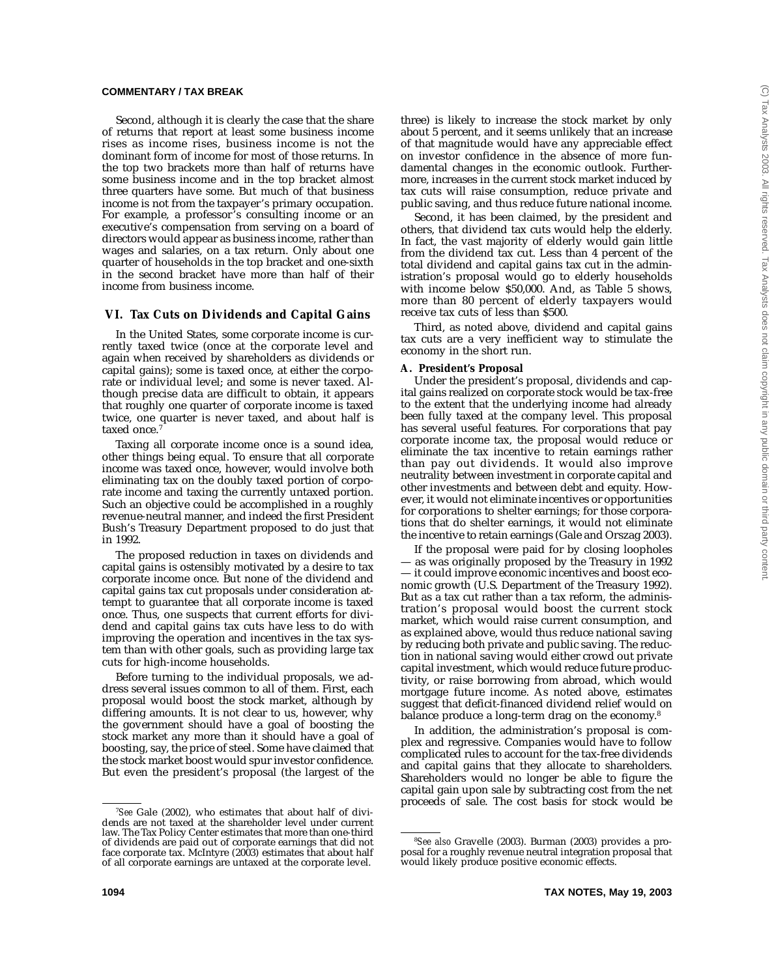Second, although it is clearly the case that the share of returns that report at least some business income rises as income rises, business income is not the dominant form of income for most of those returns. In the top two brackets more than half of returns have some business income and in the top bracket almost three quarters have some. But much of that business income is not from the taxpayer's primary occupation. For example, a professor's consulting income or an executive's compensation from serving on a board of directors would appear as business income, rather than wages and salaries, on a tax return. Only about one quarter of households in the top bracket and one-sixth in the second bracket have more than half of their income from business income.

## **VI. Tax Cuts on Dividends and Capital Gains**

In the United States, some corporate income is currently taxed twice (once at the corporate level and again when received by shareholders as dividends or capital gains); some is taxed once, at either the corporate or individual level; and some is never taxed. Although precise data are difficult to obtain, it appears that roughly one quarter of corporate income is taxed twice, one quarter is never taxed, and about half is taxed once.<sup>7</sup>

Taxing all corporate income once is a sound idea, other things being equal. To ensure that all corporate income was taxed once, however, would involve both eliminating tax on the doubly taxed portion of corporate income and taxing the currently untaxed portion. Such an objective could be accomplished in a roughly revenue-neutral manner, and indeed the first President Bush's Treasury Department proposed to do just that in 1992.

The proposed reduction in taxes on dividends and capital gains is ostensibly motivated by a desire to tax corporate income once. But none of the dividend and capital gains tax cut proposals under consideration attempt to guarantee that all corporate income is taxed once. Thus, one suspects that current efforts for dividend and capital gains tax cuts have less to do with improving the operation and incentives in the tax system than with other goals, such as providing large tax cuts for high-income households.

Before turning to the individual proposals, we address several issues common to all of them. First, each proposal would boost the stock market, although by differing amounts. It is not clear to us, however, why the government should have a goal of boosting the stock market any more than it should have a goal of boosting, say, the price of steel. Some have claimed that the stock market boost would spur investor confidence. But even the president's proposal (the largest of the

three) is likely to increase the stock market by only about 5 percent, and it seems unlikely that an increase of that magnitude would have any appreciable effect on investor confidence in the absence of more fundamental changes in the economic outlook. Furthermore, increases in the current stock market induced by tax cuts will raise consumption, reduce private and public saving, and thus reduce future national income.

Second, it has been claimed, by the president and others, that dividend tax cuts would help the elderly. In fact, the vast majority of elderly would gain little from the dividend tax cut. Less than 4 percent of the total dividend and capital gains tax cut in the administration's proposal would go to elderly households with income below \$50,000. And, as Table 5 shows, more than 80 percent of elderly taxpayers would receive tax cuts of less than \$500.

Third, as noted above, dividend and capital gains tax cuts are a very inefficient way to stimulate the economy in the short run.

#### **A. President's Proposal**

Under the president's proposal, dividends and capital gains realized on corporate stock would be tax-free to the extent that the underlying income had already been fully taxed at the company level. This proposal has several useful features. For corporations that pay corporate income tax, the proposal would reduce or eliminate the tax incentive to retain earnings rather than pay out dividends. It would also improve neutrality between investment in corporate capital and other investments and between debt and equity. However, it would not eliminate incentives or opportunities for corporations to shelter earnings; for those corporations that do shelter earnings, it would not eliminate the incentive to retain earnings (Gale and Orszag 2003).

If the proposal were paid for by closing loopholes — as was originally proposed by the Treasury in 1992 — it could improve economic incentives and boost economic growth (U.S. Department of the Treasury 1992). But as a tax cut rather than a tax reform, the administration's proposal would boost the current stock market, which would raise current consumption, and as explained above, would thus reduce national saving by reducing both private and public saving. The reduction in national saving would either crowd out private capital investment, which would reduce future productivity, or raise borrowing from abroad, which would mortgage future income. As noted above, estimates suggest that deficit-financed dividend relief would on balance produce a long-term drag on the economy.<sup>8</sup>

In addition, the administration's proposal is complex and regressive. Companies would have to follow complicated rules to account for the tax-free dividends and capital gains that they allocate to shareholders. Shareholders would no longer be able to figure the capital gain upon sale by subtracting cost from the net proceeds of sale. The cost basis for stock would be

*See* Gale (2002), who estimates that about half of dividends are not taxed at the shareholder level under current law. The Tax Policy Center estimates that more than one-third of dividends are paid out of corporate earnings that did not face corporate tax. McIntyre (2003) estimates that about half of all corporate earnings are untaxed at the corporate level.

<sup>8</sup> *See also* Gravelle (2003). Burman (2003) provides a proposal for a roughly revenue neutral integration proposal that would likely produce positive economic effects.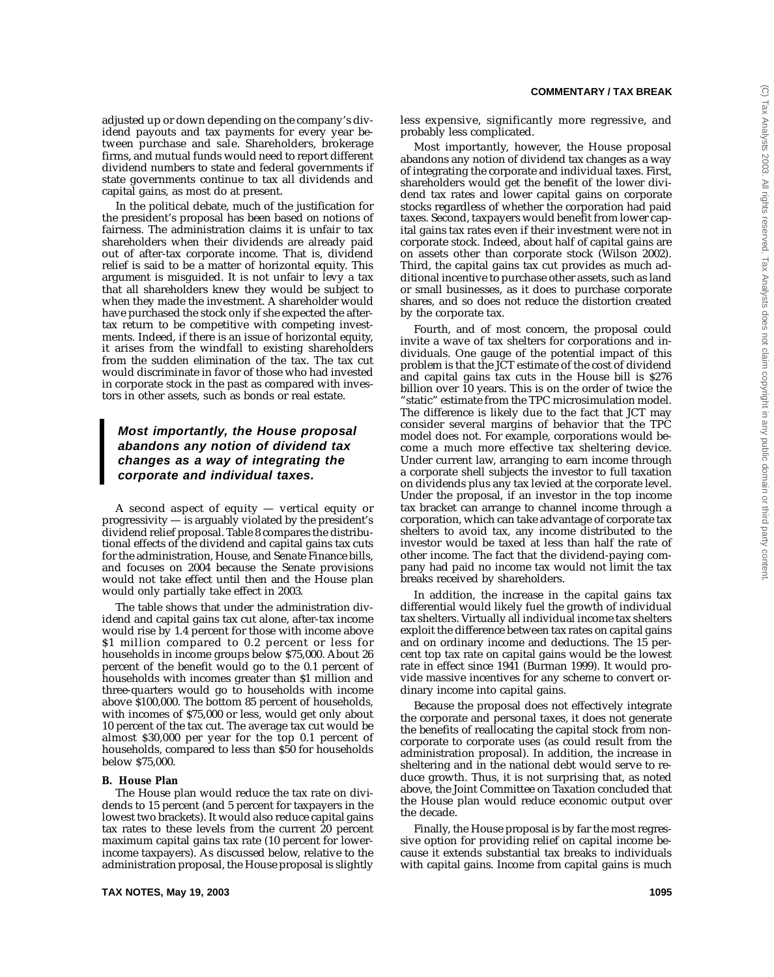adjusted up or down depending on the company's dividend payouts and tax payments for every year between purchase and sale. Shareholders, brokerage firms, and mutual funds would need to report different dividend numbers to state and federal governments if state governments continue to tax all dividends and capital gains, as most do at present.

In the political debate, much of the justification for the president's proposal has been based on notions of fairness. The administration claims it is unfair to tax shareholders when their dividends are already paid out of after-tax corporate income. That is, dividend relief is said to be a matter of horizontal equity. This argument is misguided. It is not unfair to levy a tax that all shareholders knew they would be subject to when they made the investment. A shareholder would have purchased the stock only if she expected the aftertax return to be competitive with competing investments. Indeed, if there is an issue of horizontal equity, it arises from the windfall to existing shareholders from the sudden elimination of the tax. The tax cut would discriminate in favor of those who had invested in corporate stock in the past as compared with investors in other assets, such as bonds or real estate.

## **Most importantly, the House proposal abandons any notion of dividend tax changes as a way of integrating the corporate and individual taxes.**

A second aspect of equity — vertical equity or progressivity — is arguably violated by the president's dividend relief proposal. Table 8 compares the distributional effects of the dividend and capital gains tax cuts for the administration, House, and Senate Finance bills, and focuses on 2004 because the Senate provisions would not take effect until then and the House plan would only partially take effect in 2003.

The table shows that under the administration dividend and capital gains tax cut alone, after-tax income would rise by 1.4 percent for those with income above \$1 million compared to 0.2 percent or less for households in income groups below \$75,000. About 26 percent of the benefit would go to the 0.1 percent of households with incomes greater than \$1 million and three-quarters would go to households with income above \$100,000. The bottom 85 percent of households, with incomes of \$75,000 or less, would get only about 10 percent of the tax cut. The average tax cut would be almost \$30,000 per year for the top 0.1 percent of households, compared to less than \$50 for households below \$75,000.

#### **B. House Plan**

The House plan would reduce the tax rate on dividends to 15 percent (and 5 percent for taxpayers in the lowest two brackets). It would also reduce capital gains tax rates to these levels from the current 20 percent maximum capital gains tax rate (10 percent for lowerincome taxpayers). As discussed below, relative to the administration proposal, the House proposal is slightly less expensive, significantly more regressive, and probably less complicated.

Most importantly, however, the House proposal abandons any notion of dividend tax changes as a way of integrating the corporate and individual taxes. First, shareholders would get the benefit of the lower dividend tax rates and lower capital gains on corporate stocks regardless of whether the corporation had paid taxes. Second, taxpayers would benefit from lower capital gains tax rates even if their investment were not in corporate stock. Indeed, about half of capital gains are on assets other than corporate stock (Wilson 2002). Third, the capital gains tax cut provides as much additional incentive to purchase other assets, such as land or small businesses, as it does to purchase corporate shares, and so does not reduce the distortion created by the corporate tax.

Fourth, and of most concern, the proposal could invite a wave of tax shelters for corporations and individuals. One gauge of the potential impact of this problem is that the JCT estimate of the cost of dividend and capital gains tax cuts in the House bill is \$276 billion over 10 years. This is on the order of twice the "static" estimate from the TPC microsimulation model. The difference is likely due to the fact that JCT may consider several margins of behavior that the TPC model does not. For example, corporations would become a much more effective tax sheltering device. Under current law, arranging to earn income through a corporate shell subjects the investor to full taxation on dividends plus any tax levied at the corporate level. Under the proposal, if an investor in the top income tax bracket can arrange to channel income through a corporation, which can take advantage of corporate tax shelters to avoid tax, any income distributed to the investor would be taxed at less than half the rate of other income. The fact that the dividend-paying company had paid no income tax would not limit the tax breaks received by shareholders.

In addition, the increase in the capital gains tax differential would likely fuel the growth of individual tax shelters. Virtually all individual income tax shelters exploit the difference between tax rates on capital gains and on ordinary income and deductions. The 15 percent top tax rate on capital gains would be the lowest rate in effect since 1941 (Burman 1999). It would provide massive incentives for any scheme to convert ordinary income into capital gains.

Because the proposal does not effectively integrate the corporate and personal taxes, it does not generate the benefits of reallocating the capital stock from noncorporate to corporate uses (as could result from the administration proposal). In addition, the increase in sheltering and in the national debt would serve to reduce growth. Thus, it is not surprising that, as noted above, the Joint Committee on Taxation concluded that the House plan would reduce economic output over the decade.

Finally, the House proposal is by far the most regressive option for providing relief on capital income because it extends substantial tax breaks to individuals with capital gains. Income from capital gains is much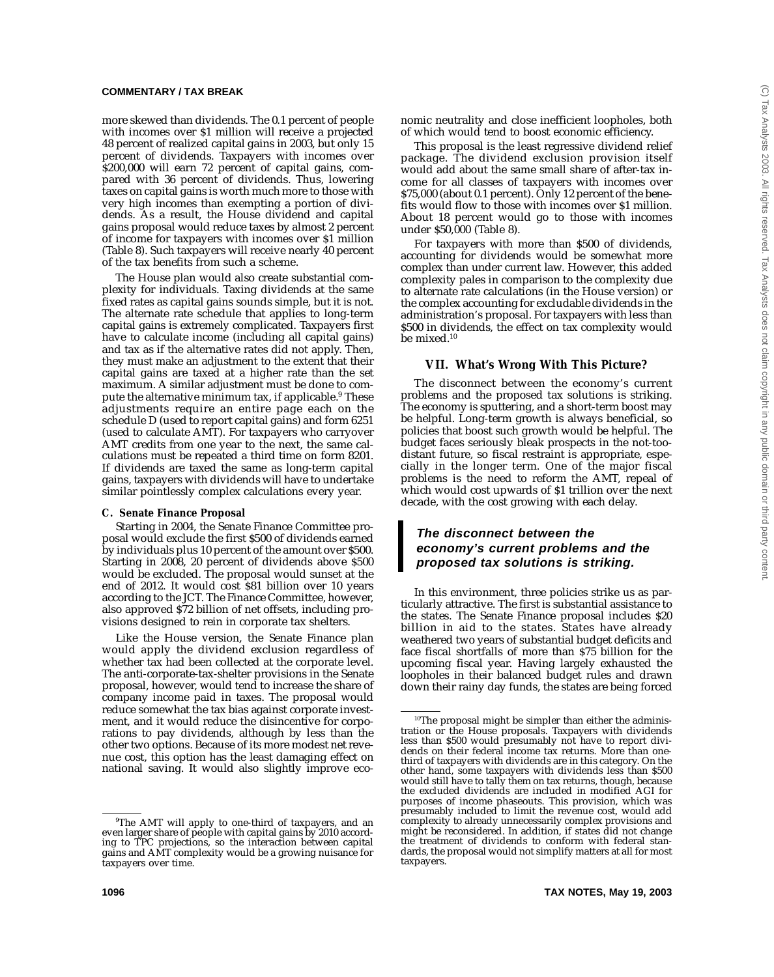more skewed than dividends. The 0.1 percent of people with incomes over \$1 million will receive a projected 48 percent of realized capital gains in 2003, but only 15 percent of dividends. Taxpayers with incomes over \$200,000 will earn 72 percent of capital gains, compared with 36 percent of dividends. Thus, lowering taxes on capital gains is worth much more to those with very high incomes than exempting a portion of dividends. As a result, the House dividend and capital gains proposal would reduce taxes by almost 2 percent of income for taxpayers with incomes over \$1 million (Table 8). Such taxpayers will receive nearly 40 percent of the tax benefits from such a scheme.

The House plan would also create substantial complexity for individuals. Taxing dividends at the same fixed rates as capital gains sounds simple, but it is not. The alternate rate schedule that applies to long-term capital gains is extremely complicated. Taxpayers first have to calculate income (including all capital gains) and tax as if the alternative rates did not apply. Then, they must make an adjustment to the extent that their capital gains are taxed at a higher rate than the set maximum. A similar adjustment must be done to compute the alternative minimum tax, if applicable.<sup>9</sup> These adjustments require an entire page each on the schedule D (used to report capital gains) and form 6251 (used to calculate AMT). For taxpayers who carryover AMT credits from one year to the next, the same calculations must be repeated a third time on form 8201. If dividends are taxed the same as long-term capital gains, taxpayers with dividends will have to undertake similar pointlessly complex calculations every year.

## **C. Senate Finance Proposal**

Starting in 2004, the Senate Finance Committee proposal would exclude the first \$500 of dividends earned by individuals plus 10 percent of the amount over \$500. Starting in 2008, 20 percent of dividends above \$500 would be excluded. The proposal would sunset at the end of 2012. It would cost \$81 billion over 10 years according to the JCT. The Finance Committee, however, also approved \$72 billion of net offsets, including provisions designed to rein in corporate tax shelters.

Like the House version, the Senate Finance plan would apply the dividend exclusion regardless of whether tax had been collected at the corporate level. The anti-corporate-tax-shelter provisions in the Senate proposal, however, would tend to increase the share of company income paid in taxes. The proposal would reduce somewhat the tax bias against corporate investment, and it would reduce the disincentive for corporations to pay dividends, although by less than the other two options. Because of its more modest net revenue cost, this option has the least damaging effect on national saving. It would also slightly improve economic neutrality and close inefficient loopholes, both of which would tend to boost economic efficiency.

This proposal is the least regressive dividend relief package. The dividend exclusion provision itself would add about the same small share of after-tax income for all classes of taxpayers with incomes over \$75,000 (about 0.1 percent). Only 12 percent of the benefits would flow to those with incomes over \$1 million. About 18 percent would go to those with incomes under \$50,000 (Table 8).

For taxpayers with more than \$500 of dividends, accounting for dividends would be somewhat more complex than under current law. However, this added complexity pales in comparison to the complexity due to alternate rate calculations (in the House version) or the complex accounting for excludable dividends in the administration's proposal. For taxpayers with less than \$500 in dividends, the effect on tax complexity would be mixed.10

## **VII. What's Wrong With This Picture?**

The disconnect between the economy's current problems and the proposed tax solutions is striking. The economy is sputtering, and a short-term boost may be helpful. Long-term growth is always beneficial, so policies that boost such growth would be helpful. The budget faces seriously bleak prospects in the not-toodistant future, so fiscal restraint is appropriate, especially in the longer term. One of the major fiscal problems is the need to reform the AMT, repeal of which would cost upwards of \$1 trillion over the next decade, with the cost growing with each delay.

## **The disconnect between the economy's current problems and the proposed tax solutions is striking.**

In this environment, three policies strike us as particularly attractive. The first is substantial assistance to the states. The Senate Finance proposal includes \$20 billion in aid to the states. States have already weathered two years of substantial budget deficits and face fiscal shortfalls of more than \$75 billion for the upcoming fiscal year. Having largely exhausted the loopholes in their balanced budget rules and drawn down their rainy day funds, the states are being forced

<sup>9</sup> The AMT will apply to one-third of taxpayers, and an even larger share of people with capital gains by 2010 according to TPC projections, so the interaction between capital gains and AMT complexity would be a growing nuisance for taxpayers over time.

<sup>&</sup>lt;sup>10</sup>The proposal might be simpler than either the administration or the House proposals. Taxpayers with dividends less than \$500 would presumably not have to report dividends on their federal income tax returns. More than onethird of taxpayers with dividends are in this category. On the other hand, some taxpayers with dividends less than \$500 would still have to tally them on tax returns, though, because the excluded dividends are included in modified AGI for purposes of income phaseouts. This provision, which was presumably included to limit the revenue cost, would add complexity to already unnecessarily complex provisions and might be reconsidered. In addition, if states did not change the treatment of dividends to conform with federal standards, the proposal would not simplify matters at all for most taxpayers.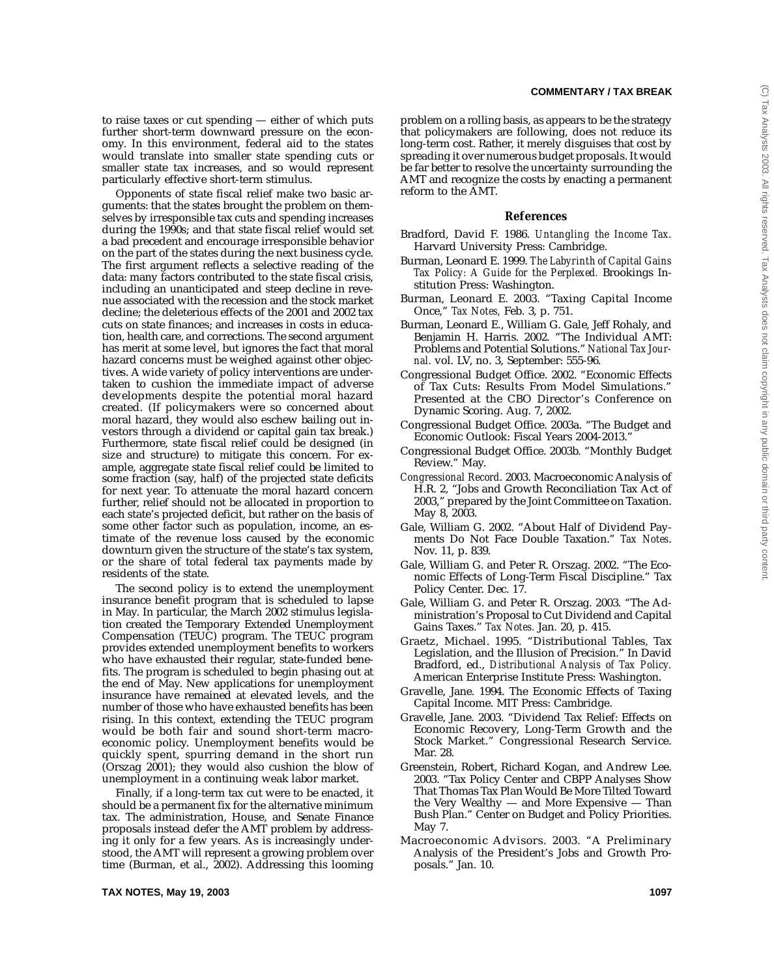problem on a rolling basis, as appears to be the strategy that policymakers are following, does not reduce its long-term cost. Rather, it merely disguises that cost by spreading it over numerous budget proposals. It would be far better to resolve the uncertainty surrounding the AMT and recognize the costs by enacting a permanent

**References** Bradford, David F. 1986. *Untangling the Income Tax.*

Burman, Leonard E. 1999. *The Labyrinth of Capital Gains Tax Policy: A Guide for the Perplexed.* Brookings In-

Burman, Leonard E. 2003. "Taxing Capital Income

Burman, Leonard E., William G. Gale, Jeff Rohaly, and Benjamin H. Harris. 2002. "The Individual AMT: Problems and Potential Solutions." *National Tax Jour-*

Congressional Budget Office. 2002. "Economic Effects of Tax Cuts: Results From Model Simulations." Presented at the CBO Director's Conference on

Congressional Budget Office. 2003a. "The Budget and Economic Outlook: Fiscal Years 2004-2013." Congressional Budget Office. 2003b. "Monthly Budget

*Congressional Record*. 2003. Macroeconomic Analysis of H.R. 2, "Jobs and Growth Reconciliation Tax Act of 2003," prepared by the Joint Committee on Taxation.

Gale, William G. 2002. "About Half of Dividend Payments Do Not Face Double Taxation." *Tax Notes*.

Gale, William G. and Peter R. Orszag. 2002. "The Economic Effects of Long-Term Fiscal Discipline." Tax

Gale, William G. and Peter R. Orszag. 2003. "The Administration's Proposal to Cut Dividend and Capital

Graetz, Michael. 1995. "Distributional Tables, Tax Legislation, and the Illusion of Precision." In David Bradford, ed., *Distributional Analysis of Tax Policy.*

Gains Taxes." *Tax Notes.* Jan. 20, p. 415.

Harvard University Press: Cambridge.

stitution Press: Washington.

Once," *Tax Notes,* Feb. 3, p. 751.

Dynamic Scoring. Aug. 7, 2002.

Review." May.

May 8, 2003.

Nov. 11, p. 839.

Policy Center. Dec. 17.

*nal.* vol. LV, no. 3, September: 555-96.

reform to the AMT.

to raise taxes or cut spending — either of which puts further short-term downward pressure on the economy. In this environment, federal aid to the states would translate into smaller state spending cuts or smaller state tax increases, and so would represent particularly effective short-term stimulus.

Opponents of state fiscal relief make two basic arguments: that the states brought the problem on themselves by irresponsible tax cuts and spending increases during the 1990s; and that state fiscal relief would set a bad precedent and encourage irresponsible behavior on the part of the states during the next business cycle. The first argument reflects a selective reading of the data: many factors contributed to the state fiscal crisis, including an unanticipated and steep decline in revenue associated with the recession and the stock market decline; the deleterious effects of the 2001 and 2002 tax cuts on state finances; and increases in costs in education, health care, and corrections. The second argument has merit at some level, but ignores the fact that moral hazard concerns must be weighed against other objectives. A wide variety of policy interventions are undertaken to cushion the immediate impact of adverse developments despite the potential moral hazard created. (If policymakers were so concerned about moral hazard, they would also eschew bailing out investors through a dividend or capital gain tax break.) Furthermore, state fiscal relief could be designed (in size and structure) to mitigate this concern. For example, aggregate state fiscal relief could be limited to some fraction (say, half) of the projected state deficits for next year. To attenuate the moral hazard concern further, relief should not be allocated in proportion to each state's projected deficit, but rather on the basis of some other factor such as population, income, an estimate of the revenue loss caused by the economic downturn given the structure of the state's tax system, or the share of total federal tax payments made by residents of the state.

The second policy is to extend the unemployment insurance benefit program that is scheduled to lapse in May. In particular, the March 2002 stimulus legislation created the Temporary Extended Unemployment Compensation (TEUC) program. The TEUC program provides extended unemployment benefits to workers who have exhausted their regular, state-funded benefits. The program is scheduled to begin phasing out at the end of May. New applications for unemployment insurance have remained at elevated levels, and the number of those who have exhausted benefits has been rising. In this context, extending the TEUC program would be both fair and sound short-term macroeconomic policy. Unemployment benefits would be quickly spent, spurring demand in the short run (Orszag 2001); they would also cushion the blow of unemployment in a continuing weak labor market.

Finally, if a long-term tax cut were to be enacted, it should be a permanent fix for the alternative minimum tax. The administration, House, and Senate Finance proposals instead defer the AMT problem by addressing it only for a few years. As is increasingly understood, the AMT will represent a growing problem over time (Burman, et al., 2002). Addressing this looming

American Enterprise Institute Press: Washington. Gravelle, Jane. 1994. The Economic Effects of Taxing

- Capital Income. MIT Press: Cambridge. Gravelle, Jane. 2003. "Dividend Tax Relief: Effects on Economic Recovery, Long-Term Growth and the Stock Market." Congressional Research Service. Mar. 28.
- Greenstein, Robert, Richard Kogan, and Andrew Lee. 2003. "Tax Policy Center and CBPP Analyses Show That Thomas Tax Plan Would Be More Tilted Toward the Very Wealthy — and More Expensive — Than Bush Plan." Center on Budget and Policy Priorities. May 7.
- Macroeconomic Advisors. 2003. "A Preliminary Analysis of the President's Jobs and Growth Proposals." Jan. 10.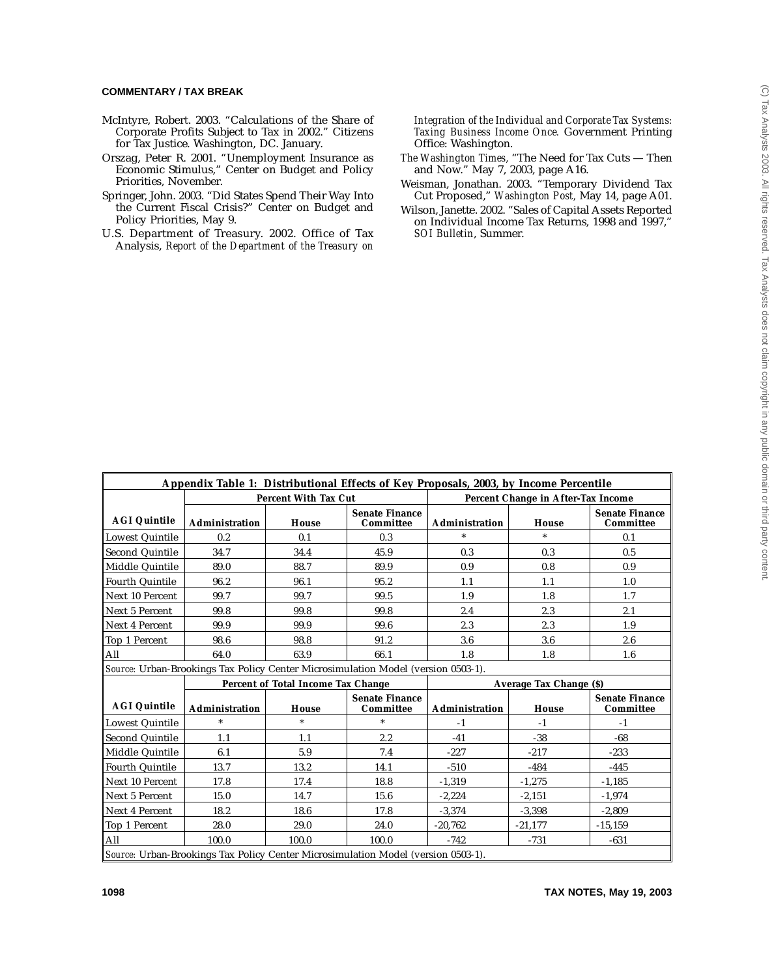- McIntyre, Robert. 2003. "Calculations of the Share of Corporate Profits Subject to Tax in 2002." Citizens for Tax Justice. Washington, DC. January.
- Orszag, Peter R. 2001. "Unemployment Insurance as Economic Stimulus," Center on Budget and Policy Priorities, November.
- Springer, John. 2003. "Did States Spend Their Way Into the Current Fiscal Crisis?" Center on Budget and Policy Priorities, May 9.
- U.S. Department of Treasury. 2002. Office of Tax Analysis, *Report of the Department of the Treasury on*

*Integration of the Individual and Corporate Tax Systems: Taxing Business Income Once.* Government Printing Office: Washington.

- *The Washington Times,* "The Need for Tax Cuts Then and Now." May 7, 2003, page A16.
- Weisman, Jonathan. 2003. "Temporary Dividend Tax Cut Proposed," *Washington Post,* May 14, page A01.
- Wilson, Janette. 2002. "Sales of Capital Assets Reported on Individual Income Tax Returns, 1998 and 1997," *SOI Bulletin*, Summer.

|                        |                       |                                    | Appendix Table 1: Distributional Effects of Key Proposals, 2003, by Income Percentile |                |                                    |                                    |
|------------------------|-----------------------|------------------------------------|---------------------------------------------------------------------------------------|----------------|------------------------------------|------------------------------------|
|                        |                       | <b>Percent With Tax Cut</b>        |                                                                                       |                | Percent Change in After-Tax Income |                                    |
| <b>AGI Quintile</b>    | <b>Administration</b> | House                              | <b>Senate Finance</b><br>Committee                                                    | Administration | House                              | <b>Senate Finance</b><br>Committee |
| Lowest Quintile        | 0.2                   | 0.1                                | 0.3                                                                                   |                | $\ast$                             | 0.1                                |
| Second Quintile        | 34.7                  | 34.4                               | 45.9                                                                                  | 0.3            | 0.3                                | 0.5                                |
| Middle Quintile        | 89.0                  | 88.7                               | 89.9                                                                                  | 0.9            | 0.8                                | 0.9                                |
| <b>Fourth Quintile</b> | 96.2                  | 96.1                               | 95.2                                                                                  | 1.1            | 1.1                                | 1.0                                |
| Next 10 Percent        | 99.7                  | 99.7                               | 99.5                                                                                  | 1.9            | 1.8                                | 1.7                                |
| Next 5 Percent         | 99.8                  | 99.8                               | 99.8                                                                                  | 2.4            | 2.3                                | 2.1                                |
| <b>Next 4 Percent</b>  | 99.9                  | 99.9                               | 99.6                                                                                  | 2.3            | 2.3                                | 1.9                                |
| Top 1 Percent          | 98.6                  | 98.8                               | 91.2                                                                                  | 3.6            | 3.6                                | 2.6                                |
| All                    | 64.0                  | 63.9                               | 66.1                                                                                  | 1.8            | 1.8                                | 1.6                                |
|                        |                       |                                    | Source: Urban-Brookings Tax Policy Center Microsimulation Model (version 0503-1).     |                |                                    |                                    |
|                        |                       | Percent of Total Income Tax Change |                                                                                       |                | <b>Average Tax Change (\$)</b>     |                                    |
| <b>AGI Quintile</b>    | Administration        | House                              | <b>Senate Finance</b><br>Committee                                                    | Administration | House                              | <b>Senate Finance</b><br>Committee |
| Lowest Quintile        | $\ast$                | $\ast$                             | $\ast$                                                                                | $-1$           | $-1$                               | $-1$                               |
| <b>Second Quintile</b> | 1.1                   | 1.1                                | 2.2                                                                                   | $-41$          | $-38$                              | $-68$                              |
| Middle Quintile        | 6.1                   | 5.9                                | 7.4                                                                                   | $-227$         | $-217$                             | $-233$                             |
| <b>Fourth Quintile</b> | 13.7                  | 13.2                               | 14.1                                                                                  | $-510$         | $-484$                             | $-445$                             |
| Next 10 Percent        | 17.8                  | 17.4                               | 18.8                                                                                  | $-1,319$       | $-1,275$                           | $-1,185$                           |
| Next 5 Percent         | 15.0                  | 14.7                               | 15.6                                                                                  | $-2,224$       | $-2,151$                           | $-1,974$                           |
| Next 4 Percent         | 18.2                  | 18.6                               | 17.8                                                                                  | $-3,374$       | $-3,398$                           | $-2,809$                           |
| Top 1 Percent          | 28.0                  | 29.0                               | 24.0                                                                                  | $-20,762$      | $-21,177$                          | $-15,159$                          |
| All                    | 100.0                 | 100.0                              | 100.0                                                                                 | $-742$         | $-731$                             | $-631$                             |
|                        |                       |                                    | Course Urban Brookings Tay Policy Contar Microsimulation Model (version 0502 1)       |                |                                    |                                    |

*Source:* Urban-Brookings Tax Policy Center Microsimulation Model (version 0503-1).